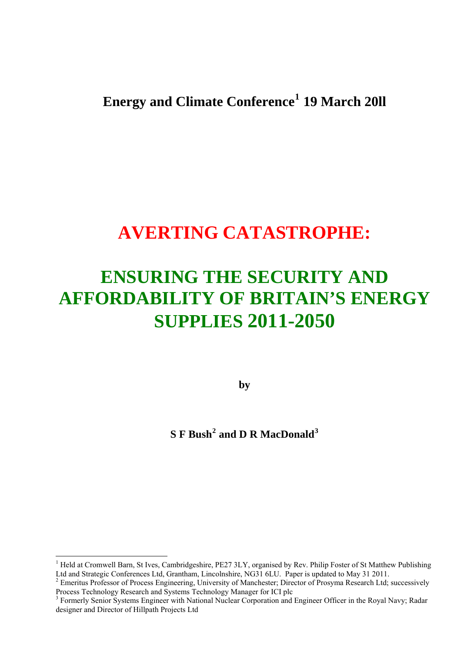# **Energy and Climate Conference[1](#page-0-0) 19 March 20ll**

# **AVERTING CATASTROPHE:**

# **ENSURING THE SECURITY AND AFFORDABILITY OF BRITAIN'S ENERGY SUPPLIES 2011-2050**

**by** 

# **S F Bush[2](#page-0-1) and D R MacDonald[3](#page-0-2)**

<span id="page-0-0"></span><sup>1</sup> Held at Cromwell Barn, St Ives, Cambridgeshire, PE27 3LY, organised by Rev. Philip Foster of St Matthew Publishing Ltd and Strategic Conferences Ltd, Grantham, Lincolnshire, NG31 6LU. Paper is updated to May 31 2011. 2 Emeritus Professor of Process Engineering, University of Manchester; Director of Prosyma Research Ltd; successively

<span id="page-0-1"></span>Process Technology Research and Systems Technology Manager for ICI plc

<span id="page-0-2"></span><sup>&</sup>lt;sup>3</sup> Formerly Senior Systems Engineer with National Nuclear Corporation and Engineer Officer in the Royal Navy; Radar designer and Director of Hillpath Projects Ltd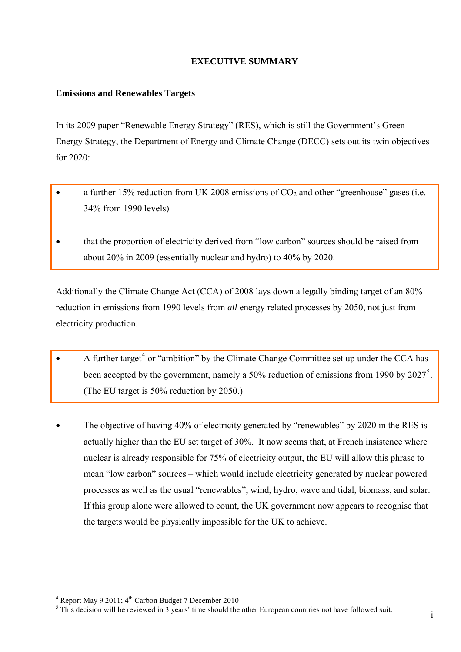## **EXECUTIVE SUMMARY**

## **Emissions and Renewables Targets**

In its 2009 paper "Renewable Energy Strategy" (RES), which is still the Government's Green Energy Strategy, the Department of Energy and Climate Change (DECC) sets out its twin objectives for  $2020$ 

- a further 15% reduction from UK 2008 emissions of  $CO<sub>2</sub>$  and other "greenhouse" gases (i.e. 34% from 1990 levels)
- that the proportion of electricity derived from "low carbon" sources should be raised from about 20% in 2009 (essentially nuclear and hydro) to 40% by 2020.

Additionally the Climate Change Act (CCA) of 2008 lays down a legally binding target of an 80% reduction in emissions from 1990 levels from *all* energy related processes by 2050, not just from electricity production.

- A further target<sup>[4](#page-1-0)</sup> or "ambition" by the Climate Change Committee set up under the CCA has been accepted by the government, namely a [5](#page-1-1)0% reduction of emissions from 1990 by  $2027^5$ . (The EU target is 50% reduction by 2050.)
- The objective of having 40% of electricity generated by "renewables" by 2020 in the RES is actually higher than the EU set target of 30%. It now seems that, at French insistence where nuclear is already responsible for 75% of electricity output, the EU will allow this phrase to mean "low carbon" sources – which would include electricity generated by nuclear powered processes as well as the usual "renewables", wind, hydro, wave and tidal, biomass, and solar. If this group alone were allowed to count, the UK government now appears to recognise that the targets would be physically impossible for the UK to achieve.

<span id="page-1-1"></span><span id="page-1-0"></span>

<sup>&</sup>lt;sup>4</sup> Report May 9 2011; 4<sup>th</sup> Carbon Budget 7 December 2010<br><sup>5</sup> This decision will be reviewed in 3 years' time should the other European countries not have followed suit.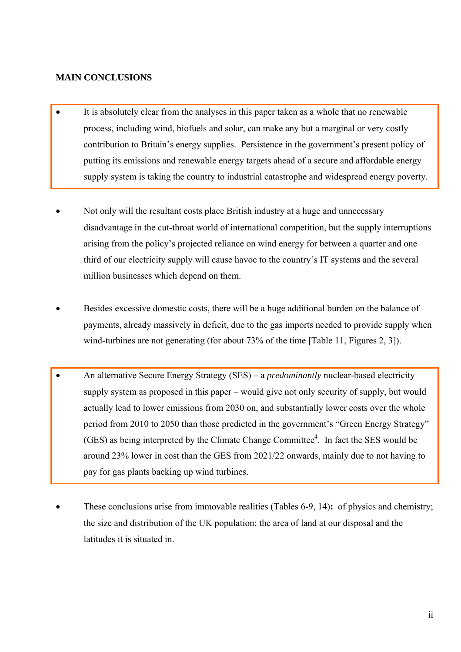## **MAIN CONCLUSIONS**

- It is absolutely clear from the analyses in this paper taken as a whole that no renewable process, including wind, biofuels and solar, can make any but a marginal or very costly contribution to Britain's energy supplies. Persistence in the government's present policy of putting its emissions and renewable energy targets ahead of a secure and affordable energy supply system is taking the country to industrial catastrophe and widespread energy poverty.
- Not only will the resultant costs place British industry at a huge and unnecessary disadvantage in the cut-throat world of international competition, but the supply interruptions arising from the policy's projected reliance on wind energy for between a quarter and one third of our electricity supply will cause havoc to the country's IT systems and the several million businesses which depend on them.
- Besides excessive domestic costs, there will be a huge additional burden on the balance of payments, already massively in deficit, due to the gas imports needed to provide supply when wind-turbines are not generating (for about 73% of the time [Table 11, Figures 2, 3]).
- An alternative Secure Energy Strategy (SES) a *predominantly* nuclear-based electricity supply system as proposed in this paper – would give not only security of supply, but would actually lead to lower emissions from 2030 on, and substantially lower costs over the whole period from 2010 to 2050 than those predicted in the government's "Green Energy Strategy"  $(GES)$  as being interpreted by the Climate Change Committee<sup>4</sup>. In fact the SES would be around 23% lower in cost than the GES from 2021/22 onwards, mainly due to not having to pay for gas plants backing up wind turbines.
- These conclusions arise from immovable realities (Tables 6-9, 14)**:** of physics and chemistry; the size and distribution of the UK population; the area of land at our disposal and the latitudes it is situated in.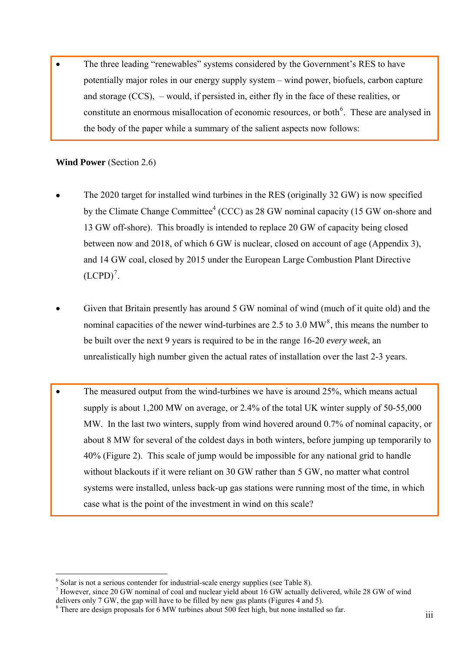• The three leading "renewables" systems considered by the Government's RES to have potentially major roles in our energy supply system – wind power, biofuels, carbon capture and storage (CCS), – would, if persisted in, either fly in the face of these realities, or constitute an enormous misallocation of economic resources, or both<sup>[6](#page-3-0)</sup>. These are analysed in the body of the paper while a summary of the salient aspects now follows:

## **Wind Power** (Section 2.6)

- The 2020 target for installed wind turbines in the RES (originally 32 GW) is now specified by the Climate Change Committee<sup>4</sup> (CCC) as 28 GW nominal capacity (15 GW on-shore and 13 GW off-shore). This broadly is intended to replace 20 GW of capacity being closed between now and 2018, of which 6 GW is nuclear, closed on account of age (Appendix 3), and 14 GW coal, closed by 2015 under the European Large Combustion Plant Directive  $(LCPD)^7$  $(LCPD)^7$ .
- Given that Britain presently has around 5 GW nominal of wind (much of it quite old) and the nominal capacities of the newer wind-turbines are 2.5 to 3.0 MW<sup>[8](#page-3-2)</sup>, this means the number to be built over the next 9 years is required to be in the range 16-20 *every week*, an unrealistically high number given the actual rates of installation over the last 2-3 years.
- The measured output from the wind-turbines we have is around 25%, which means actual supply is about 1,200 MW on average, or 2.4% of the total UK winter supply of 50-55,000 MW. In the last two winters, supply from wind hovered around 0.7% of nominal capacity, or about 8 MW for several of the coldest days in both winters, before jumping up temporarily to 40% (Figure 2). This scale of jump would be impossible for any national grid to handle without blackouts if it were reliant on 30 GW rather than 5 GW, no matter what control systems were installed, unless back-up gas stations were running most of the time, in which case what is the point of the investment in wind on this scale?

 $\overline{a}$  $^6$  Solar is not a serious contender for industrial-scale energy supplies (see Table 8).<br>
<sup>7</sup> However, since 20 GW nominal of coal and nuclear viald about 16 GW setually d

<span id="page-3-1"></span><span id="page-3-0"></span><sup>&</sup>lt;sup>7</sup> However, since 20 GW nominal of coal and nuclear yield about 16 GW actually delivered, while 28 GW of wind delivers only 7 GW, the gap will have to be filled by new gas plants (Figures 4 and 5).

<span id="page-3-2"></span><sup>&</sup>lt;sup>8</sup> There are design proposals for 6 MW turbines about 500 feet high, but none installed so far.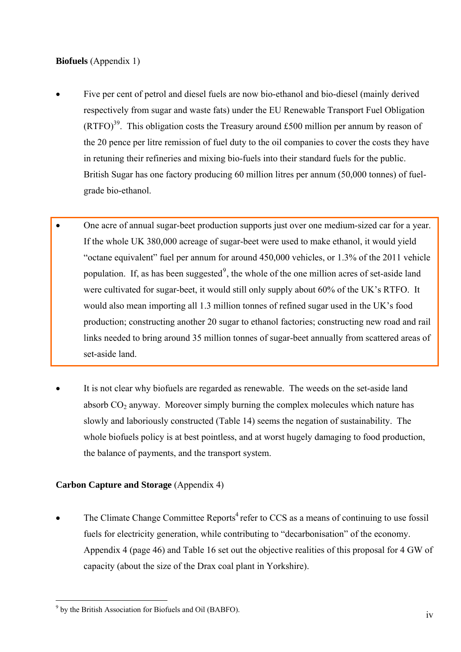## **Biofuels** (Appendix 1)

- Five per cent of petrol and diesel fuels are now bio-ethanol and bio-diesel (mainly derived respectively from sugar and waste fats) under the EU Renewable Transport Fuel Obligation  $(RTFO)<sup>39</sup>$ . This obligation costs the Treasury around £500 million per annum by reason of the 20 pence per litre remission of fuel duty to the oil companies to cover the costs they have in retuning their refineries and mixing bio-fuels into their standard fuels for the public. British Sugar has one factory producing 60 million litres per annum (50,000 tonnes) of fuelgrade bio-ethanol.
- One acre of annual sugar-beet production supports just over one medium-sized car for a year. If the whole UK 380,000 acreage of sugar-beet were used to make ethanol, it would yield "octane equivalent" fuel per annum for around 450,000 vehicles, or 1.3% of the 2011 vehicle population. If, as has been suggested<sup>[9](#page-4-0)</sup>, the whole of the one million acres of set-aside land were cultivated for sugar-beet, it would still only supply about 60% of the UK's RTFO. It would also mean importing all 1.3 million tonnes of refined sugar used in the UK's food production; constructing another 20 sugar to ethanol factories; constructing new road and rail links needed to bring around 35 million tonnes of sugar-beet annually from scattered areas of set-aside land.
- It is not clear why biofuels are regarded as renewable. The weeds on the set-aside land absorb  $CO<sub>2</sub>$  anyway. Moreover simply burning the complex molecules which nature has slowly and laboriously constructed (Table 14) seems the negation of sustainability. The whole biofuels policy is at best pointless, and at worst hugely damaging to food production, the balance of payments, and the transport system.

## **Carbon Capture and Storage** (Appendix 4)

The Climate Change Committee Reports<sup>4</sup> refer to CCS as a means of continuing to use fossil fuels for electricity generation, while contributing to "decarbonisation" of the economy. Appendix 4 (page 46) and Table 16 set out the objective realities of this proposal for 4 GW of capacity (about the size of the Drax coal plant in Yorkshire).

<span id="page-4-0"></span><sup>&</sup>lt;sup>9</sup> by the British Association for Biofuels and Oil (BABFO).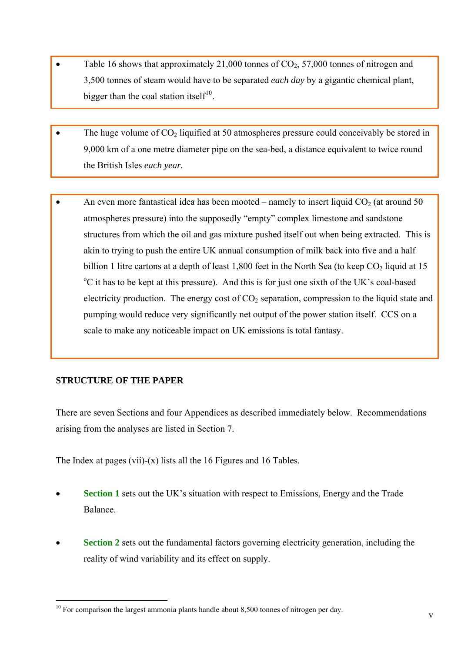- Table 16 shows that approximately 21,000 tonnes of  $CO<sub>2</sub>$ , 57,000 tonnes of nitrogen and 3,500 tonnes of steam would have to be separated *each day* by a gigantic chemical plant, bigger than the coal station itself<sup>[10](#page-5-0)</sup>.
- The huge volume of  $CO<sub>2</sub>$  liquified at 50 atmospheres pressure could conceivably be stored in 9,000 km of a one metre diameter pipe on the sea-bed, a distance equivalent to twice round the British Isles *each year.*
- An even more fantastical idea has been mooted namely to insert liquid  $CO<sub>2</sub>$  (at around 50 atmospheres pressure) into the supposedly "empty" complex limestone and sandstone structures from which the oil and gas mixture pushed itself out when being extracted. This is akin to trying to push the entire UK annual consumption of milk back into five and a half billion 1 litre cartons at a depth of least 1,800 feet in the North Sea (to keep  $CO<sub>2</sub>$  liquid at 15 o C it has to be kept at this pressure). And this is for just one sixth of the UK's coal-based electricity production. The energy cost of  $CO<sub>2</sub>$  separation, compression to the liquid state and pumping would reduce very significantly net output of the power station itself. CCS on a scale to make any noticeable impact on UK emissions is total fantasy.

## **STRUCTURE OF THE PAPER**

There are seven Sections and four Appendices as described immediately below. Recommendations arising from the analyses are listed in Section 7.

The Index at pages (vii)-(x) lists all the 16 Figures and 16 Tables.

- **Section 1** sets out the UK's situation with respect to Emissions, Energy and the Trade Balance.
- **Section 2** sets out the fundamental factors governing electricity generation, including the reality of wind variability and its effect on supply.

<span id="page-5-0"></span> $\overline{a}$  $10$  For comparison the largest ammonia plants handle about 8,500 tonnes of nitrogen per day.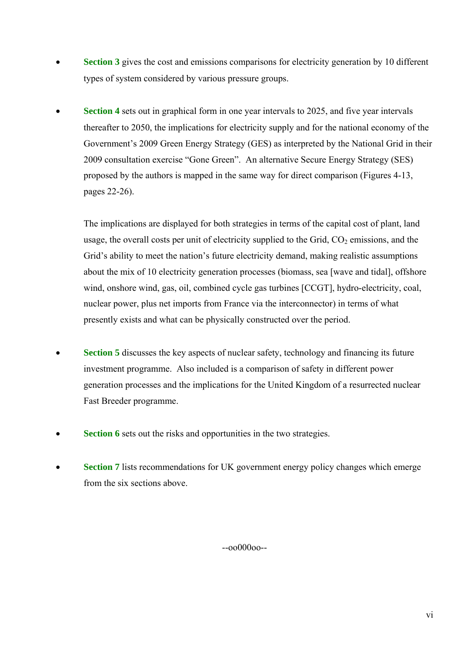- **Section 3** gives the cost and emissions comparisons for electricity generation by 10 different types of system considered by various pressure groups.
- **Section 4** sets out in graphical form in one year intervals to 2025, and five year intervals thereafter to 2050, the implications for electricity supply and for the national economy of the Government's 2009 Green Energy Strategy (GES) as interpreted by the National Grid in their 2009 consultation exercise "Gone Green". An alternative Secure Energy Strategy (SES) proposed by the authors is mapped in the same way for direct comparison (Figures 4-13, pages 22-26).

The implications are displayed for both strategies in terms of the capital cost of plant, land usage, the overall costs per unit of electricity supplied to the Grid,  $CO<sub>2</sub>$  emissions, and the Grid's ability to meet the nation's future electricity demand, making realistic assumptions about the mix of 10 electricity generation processes (biomass, sea [wave and tidal], offshore wind, onshore wind, gas, oil, combined cycle gas turbines [CCGT], hydro-electricity, coal, nuclear power, plus net imports from France via the interconnector) in terms of what presently exists and what can be physically constructed over the period.

- **Section 5** discusses the key aspects of nuclear safety, technology and financing its future investment programme. Also included is a comparison of safety in different power generation processes and the implications for the United Kingdom of a resurrected nuclear Fast Breeder programme.
- **Section 6** sets out the risks and opportunities in the two strategies.
- **Section 7** lists recommendations for UK government energy policy changes which emerge from the six sections above.

--oo000oo--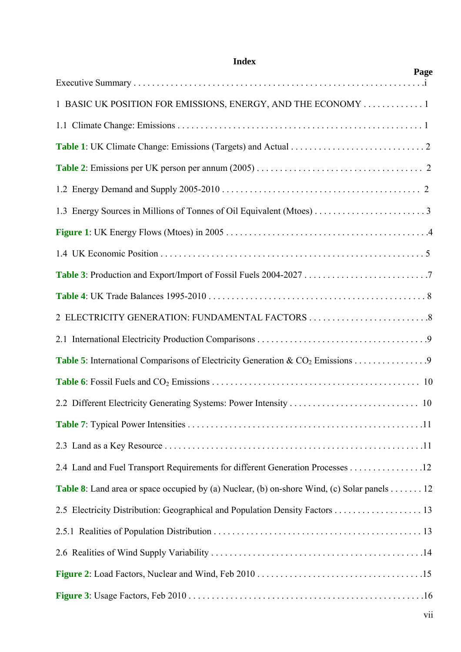| Page                                                                                                |
|-----------------------------------------------------------------------------------------------------|
| 1 BASIC UK POSITION FOR EMISSIONS, ENERGY, AND THE ECONOMY 1                                        |
|                                                                                                     |
|                                                                                                     |
|                                                                                                     |
|                                                                                                     |
|                                                                                                     |
|                                                                                                     |
|                                                                                                     |
|                                                                                                     |
|                                                                                                     |
|                                                                                                     |
|                                                                                                     |
| Table 5: International Comparisons of Electricity Generation & CO <sub>2</sub> Emissions 9          |
|                                                                                                     |
|                                                                                                     |
|                                                                                                     |
|                                                                                                     |
| 2.4 Land and Fuel Transport Requirements for different Generation Processes 12                      |
| <b>Table 8</b> : Land area or space occupied by (a) Nuclear, (b) on-shore Wind, (c) Solar panels 12 |
| 2.5 Electricity Distribution: Geographical and Population Density Factors 13                        |
|                                                                                                     |
|                                                                                                     |
|                                                                                                     |
|                                                                                                     |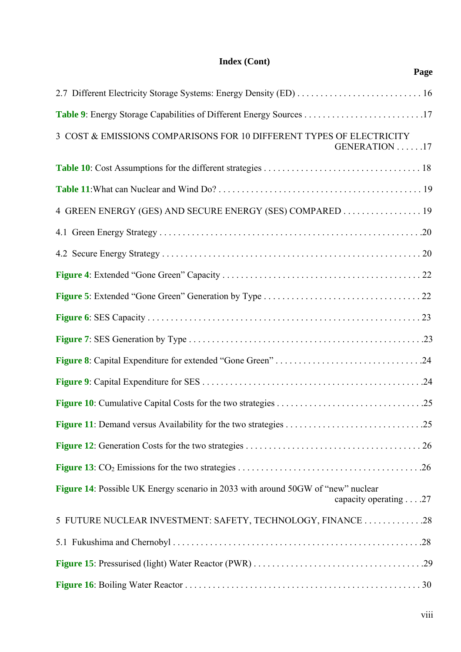## **Index (Cont) Page**

| 3 COST & EMISSIONS COMPARISONS FOR 10 DIFFERENT TYPES OF ELECTRICITY<br>GENERATION 17                     |
|-----------------------------------------------------------------------------------------------------------|
|                                                                                                           |
|                                                                                                           |
| 4 GREEN ENERGY (GES) AND SECURE ENERGY (SES) COMPARED 19                                                  |
|                                                                                                           |
|                                                                                                           |
|                                                                                                           |
|                                                                                                           |
|                                                                                                           |
|                                                                                                           |
|                                                                                                           |
|                                                                                                           |
|                                                                                                           |
|                                                                                                           |
|                                                                                                           |
|                                                                                                           |
| Figure 14: Possible UK Energy scenario in 2033 with around 50GW of "new" nuclear<br>capacity operating 27 |
| 5 FUTURE NUCLEAR INVESTMENT: SAFETY, TECHNOLOGY, FINANCE  .28                                             |
|                                                                                                           |
|                                                                                                           |
|                                                                                                           |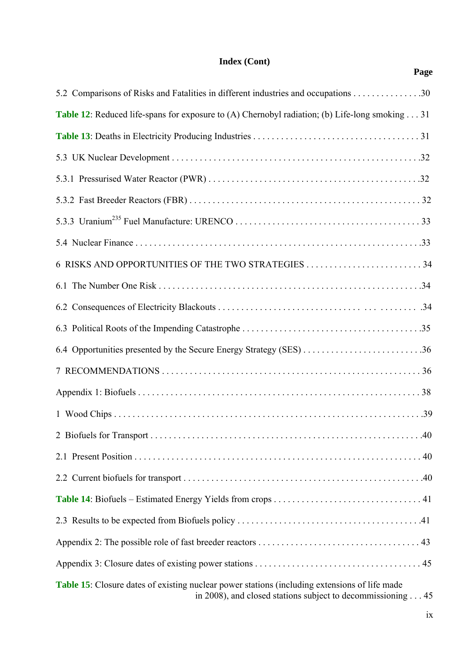## **Index (Cont)**  *Page*

| 5.2 Comparisons of Risks and Fatalities in different industries and occupations 30                                                                                           |  |
|------------------------------------------------------------------------------------------------------------------------------------------------------------------------------|--|
| Table 12: Reduced life-spans for exposure to (A) Chernobyl radiation; (b) Life-long smoking 31                                                                               |  |
|                                                                                                                                                                              |  |
|                                                                                                                                                                              |  |
|                                                                                                                                                                              |  |
|                                                                                                                                                                              |  |
|                                                                                                                                                                              |  |
|                                                                                                                                                                              |  |
|                                                                                                                                                                              |  |
|                                                                                                                                                                              |  |
|                                                                                                                                                                              |  |
|                                                                                                                                                                              |  |
|                                                                                                                                                                              |  |
|                                                                                                                                                                              |  |
|                                                                                                                                                                              |  |
|                                                                                                                                                                              |  |
|                                                                                                                                                                              |  |
|                                                                                                                                                                              |  |
|                                                                                                                                                                              |  |
|                                                                                                                                                                              |  |
|                                                                                                                                                                              |  |
|                                                                                                                                                                              |  |
|                                                                                                                                                                              |  |
| <b>Table 15</b> : Closure dates of existing nuclear power stations (including extensions of life made<br>in 2008), and closed stations subject to decommissioning $\dots$ 45 |  |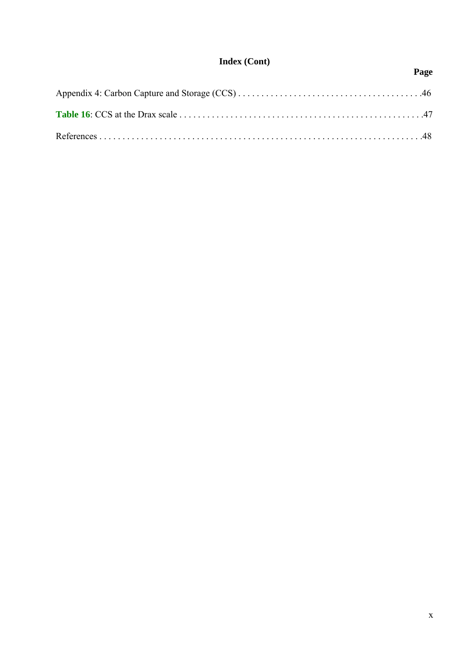## **Index (Cont)**  *Page*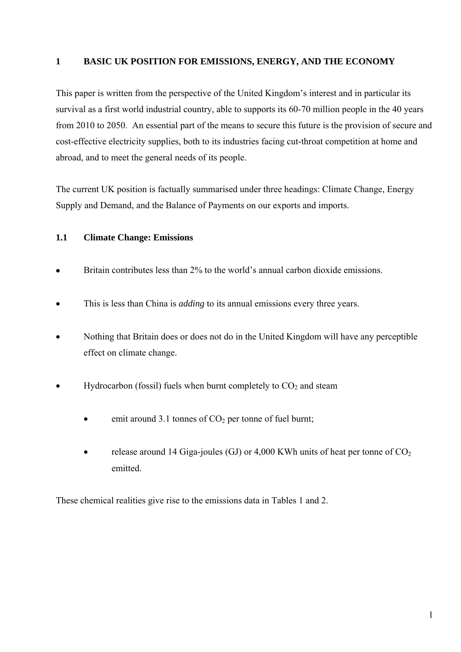## **1 BASIC UK POSITION FOR EMISSIONS, ENERGY, AND THE ECONOMY**

This paper is written from the perspective of the United Kingdom's interest and in particular its survival as a first world industrial country, able to supports its 60-70 million people in the 40 years from 2010 to 2050. An essential part of the means to secure this future is the provision of secure and cost-effective electricity supplies, both to its industries facing cut-throat competition at home and abroad, and to meet the general needs of its people.

The current UK position is factually summarised under three headings: Climate Change, Energy Supply and Demand, and the Balance of Payments on our exports and imports.

## **1.1 Climate Change: Emissions**

- Britain contributes less than 2% to the world's annual carbon dioxide emissions.
- This is less than China is *adding* to its annual emissions every three years.
- Nothing that Britain does or does not do in the United Kingdom will have any perceptible effect on climate change.
- Hydrocarbon (fossil) fuels when burnt completely to  $CO<sub>2</sub>$  and steam
	- emit around 3.1 tonnes of  $CO<sub>2</sub>$  per tonne of fuel burnt;
	- release around 14 Giga-joules (GJ) or 4,000 KWh units of heat per tonne of  $CO<sub>2</sub>$ emitted.

These chemical realities give rise to the emissions data in Tables 1 and 2.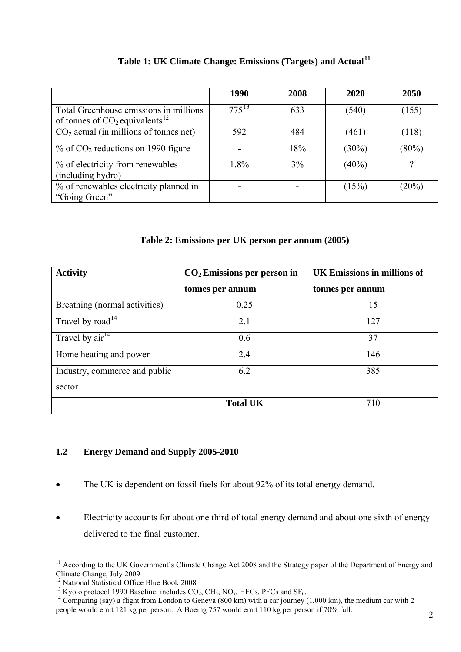|                                                                                        | 1990       | 2008 | 2020     | 2050  |
|----------------------------------------------------------------------------------------|------------|------|----------|-------|
| Total Greenhouse emissions in millions<br>of tonnes of $CO2$ equivalents <sup>12</sup> | $775^{13}$ | 633  | (540)    | (155) |
| $CO2$ actual (in millions of tonnes net)                                               | 592        | 484  | (461)    | (118) |
| $%$ of CO <sub>2</sub> reductions on 1990 figure                                       |            | 18%  | $(30\%)$ | (80%) |
| % of electricity from renewables<br>(including hydro)                                  | 1.8%       | 3%   | $(40\%)$ | 9     |
| % of renewables electricity planned in<br>"Going Green"                                |            |      | (15%)    | (20%) |

## **Table 1: UK Climate Change: Emissions (Targets) and Actual[11](#page-12-0)**

**Table 2: Emissions per UK person per annum (2005)** 

| <b>Activity</b>                        | $CO2$ Emissions per person in | <b>UK Emissions in millions of</b> |
|----------------------------------------|-------------------------------|------------------------------------|
|                                        | tonnes per annum              | tonnes per annum                   |
| Breathing (normal activities)          | 0.25                          | 15                                 |
| Travel by road <sup>14</sup>           | 2.1                           | 127                                |
| Travel by $\overline{\text{air}}^{14}$ | 0.6                           | 37                                 |
| Home heating and power                 | 2.4                           | 146                                |
| Industry, commerce and public          | 6.2                           | 385                                |
| sector                                 |                               |                                    |
|                                        | <b>Total UK</b>               | 710                                |

## **1.2 Energy Demand and Supply 2005-2010**

- The UK is dependent on fossil fuels for about 92% of its total energy demand.
- Electricity accounts for about one third of total energy demand and about one sixth of energy delivered to the final customer.

<span id="page-12-0"></span><sup>&</sup>lt;sup>11</sup> According to the UK Government's Climate Change Act 2008 and the Strategy paper of the Department of Energy and Climate Change, July 2009

<sup>&</sup>lt;sup>12</sup> National Statistical Office Blue Book 2008

<span id="page-12-3"></span><span id="page-12-2"></span><span id="page-12-1"></span><sup>&</sup>lt;sup>13</sup> Kyoto protocol 1990 Baseline: includes  $CO_2$ , CH<sub>4</sub>, NO<sub>x</sub>, HFCs, PFCs and SF<sub>6</sub>. <sup>14</sup> Comparing (say) a flight from London to Geneva (800 km) with a car journey (1,000 km), the medium car with 2 people would emit 121 kg per person. A Boeing 757 would emit 110 kg per person if 70% full.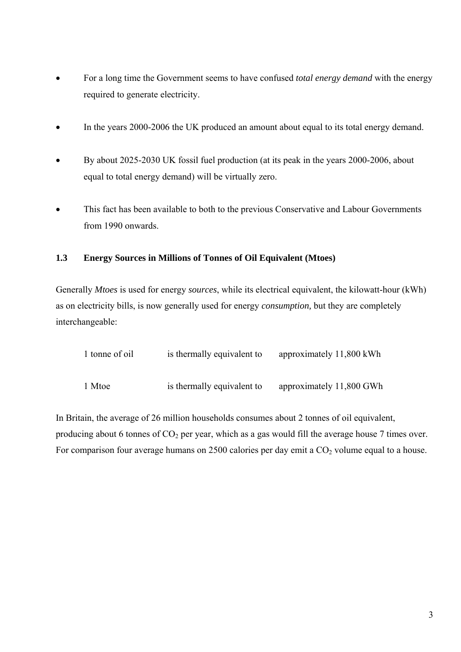- For a long time the Government seems to have confused *total energy demand* with the energy required to generate electricity.
- In the years 2000-2006 the UK produced an amount about equal to its total energy demand.
- By about 2025-2030 UK fossil fuel production (at its peak in the years 2000-2006, about equal to total energy demand) will be virtually zero.
- This fact has been available to both to the previous Conservative and Labour Governments from 1990 onwards.

## **1.3 Energy Sources in Millions of Tonnes of Oil Equivalent (Mtoes)**

Generally *Mtoes* is used for energy *sources*, while its electrical equivalent, the kilowatt-hour (kWh) as on electricity bills, is now generally used for energy *consumption,* but they are completely interchangeable:

| 1 tonne of oil | is thermally equivalent to | approximately 11,800 kWh |
|----------------|----------------------------|--------------------------|
| 1 Mtoe         | is thermally equivalent to | approximately 11,800 GWh |

In Britain, the average of 26 million households consumes about 2 tonnes of oil equivalent, producing about 6 tonnes of  $CO<sub>2</sub>$  per year, which as a gas would fill the average house 7 times over. For comparison four average humans on 2500 calories per day emit a CO<sub>2</sub> volume equal to a house.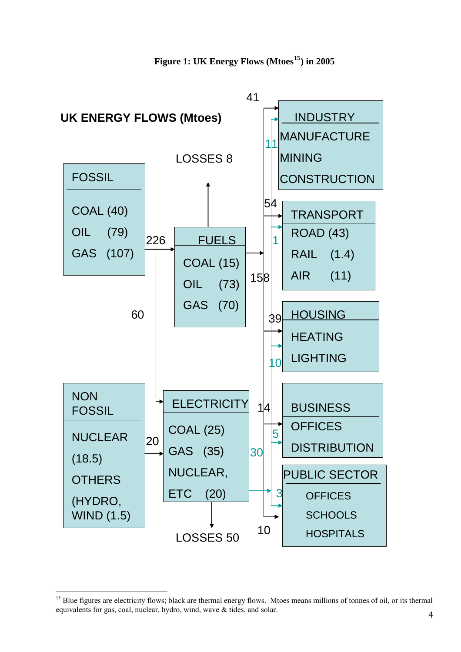

<span id="page-14-0"></span><sup>&</sup>lt;sup>15</sup> Blue figures are electricity flows; black are thermal energy flows. Mtoes means millions of tonnes of oil, or its thermal equivalents for gas, coal, nuclear, hydro, wind, wave & tides, and solar.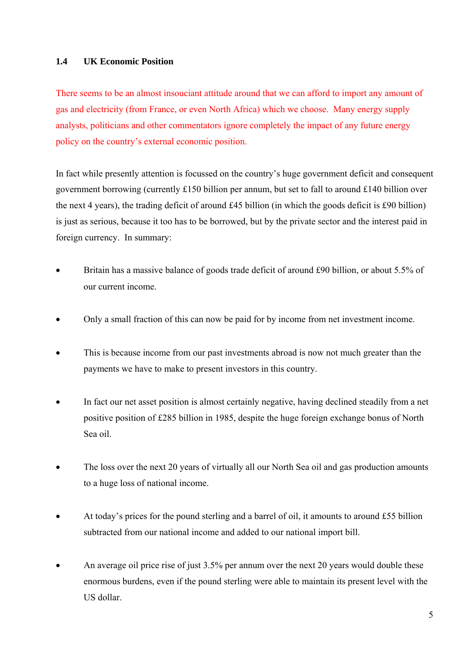## **1.4 UK Economic Position**

There seems to be an almost insouciant attitude around that we can afford to import any amount of gas and electricity (from France, or even North Africa) which we choose. Many energy supply analysts, politicians and other commentators ignore completely the impact of any future energy policy on the country's external economic position.

In fact while presently attention is focussed on the country's huge government deficit and consequent government borrowing (currently £150 billion per annum, but set to fall to around £140 billion over the next 4 years), the trading deficit of around £45 billion (in which the goods deficit is £90 billion) is just as serious, because it too has to be borrowed, but by the private sector and the interest paid in foreign currency. In summary:

- Britain has a massive balance of goods trade deficit of around £90 billion, or about 5.5% of our current income.
- Only a small fraction of this can now be paid for by income from net investment income.
- This is because income from our past investments abroad is now not much greater than the payments we have to make to present investors in this country.
- In fact our net asset position is almost certainly negative, having declined steadily from a net positive position of £285 billion in 1985, despite the huge foreign exchange bonus of North Sea oil.
- The loss over the next 20 years of virtually all our North Sea oil and gas production amounts to a huge loss of national income.
- At today's prices for the pound sterling and a barrel of oil, it amounts to around £55 billion subtracted from our national income and added to our national import bill.
- An average oil price rise of just 3.5% per annum over the next 20 years would double these enormous burdens, even if the pound sterling were able to maintain its present level with the US dollar.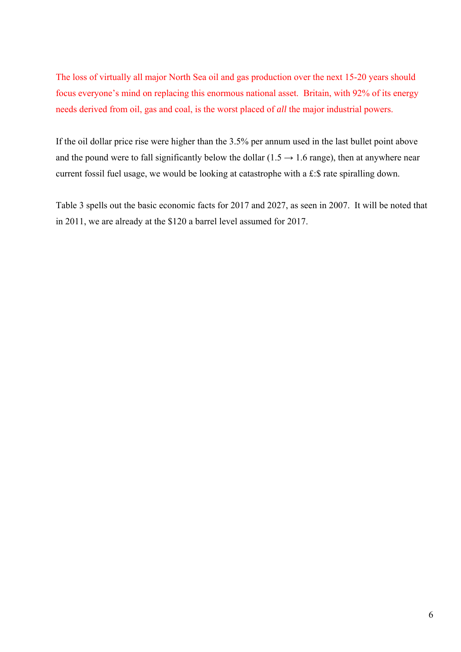The loss of virtually all major North Sea oil and gas production over the next 15-20 years should focus everyone's mind on replacing this enormous national asset. Britain, with 92% of its energy needs derived from oil, gas and coal, is the worst placed of *all* the major industrial powers.

If the oil dollar price rise were higher than the 3.5% per annum used in the last bullet point above and the pound were to fall significantly below the dollar  $(1.5 \rightarrow 1.6$  range), then at anywhere near current fossil fuel usage, we would be looking at catastrophe with a £:\$ rate spiralling down.

Table 3 spells out the basic economic facts for 2017 and 2027, as seen in 2007. It will be noted that in 2011, we are already at the \$120 a barrel level assumed for 2017.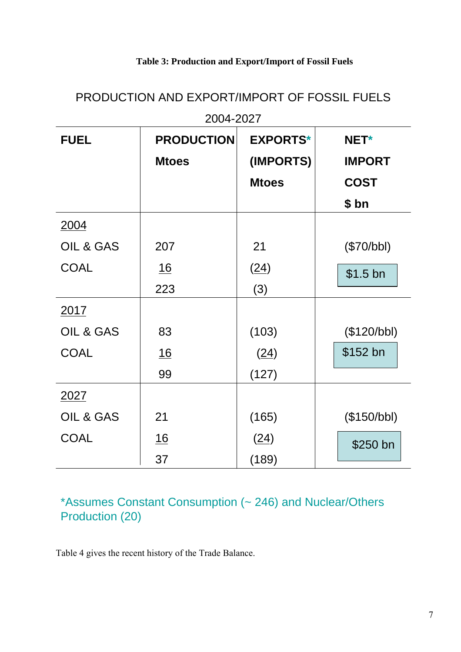## **Table 3: Production and Export/Import of Fossil Fuels**

| 2004-2027   |                   |                 |               |  |  |  |
|-------------|-------------------|-----------------|---------------|--|--|--|
| <b>FUEL</b> | <b>PRODUCTION</b> | <b>EXPORTS*</b> | NET*          |  |  |  |
|             | <b>Mtoes</b>      | (IMPORTS)       | <b>IMPORT</b> |  |  |  |
|             |                   | <b>Mtoes</b>    | <b>COST</b>   |  |  |  |
|             |                   |                 | \$bn          |  |  |  |
| 2004        |                   |                 |               |  |  |  |
| OIL & GAS   | 207               | 21              | (\$70/bbl)    |  |  |  |
| <b>COAL</b> | <u>16</u>         | (24)            | $$1.5$ bn     |  |  |  |
|             | 223               | (3)             |               |  |  |  |
| 2017        |                   |                 |               |  |  |  |
| OIL & GAS   | 83                | (103)           | (\$120/bbl)   |  |  |  |
| <b>COAL</b> | <u>16</u>         | (24)            | \$152 bn      |  |  |  |
|             | 99                | (127)           |               |  |  |  |
| 2027        |                   |                 |               |  |  |  |
| OIL & GAS   | 21                | (165)           | (\$150/bbl)   |  |  |  |
| <b>COAL</b> | <u>16</u>         | (24)            | \$250 bn      |  |  |  |
|             | 37                | (189)           |               |  |  |  |

# PRODUCTION AND EXPORT/IMPORT OF FOSSIL FUELS

\*Assumes Constant Consumption (~ 246) and Nuclear/Others Production (20)

Table 4 gives the recent history of the Trade Balance.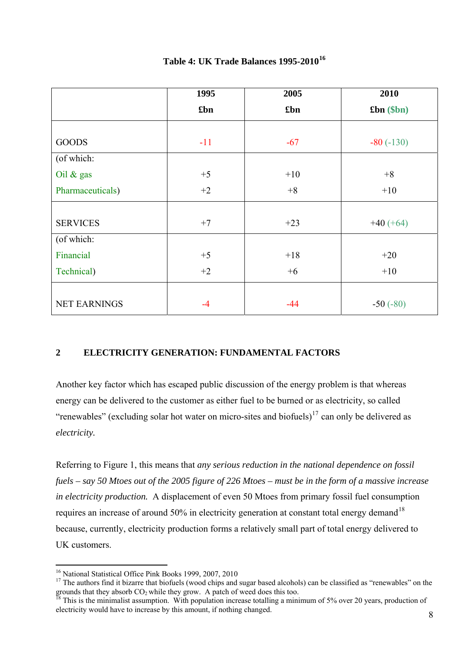|                     | 1995  | 2005  | 2010        |
|---------------------|-------|-------|-------------|
|                     | £bn   | £bn   | f(bn)(b)    |
|                     |       |       |             |
| <b>GOODS</b>        | $-11$ | $-67$ | $-80(-130)$ |
| (of which:          |       |       |             |
| Oil $\&$ gas        | $+5$  | $+10$ | $+8$        |
| Pharmaceuticals)    | $+2$  | $+8$  | $+10$       |
|                     |       |       |             |
| <b>SERVICES</b>     | $+7$  | $+23$ | $+40 (+64)$ |
| (of which:          |       |       |             |
| Financial           | $+5$  | $+18$ | $+20$       |
| Technical)          | $+2$  | $+6$  | $+10$       |
|                     |       |       |             |
| <b>NET EARNINGS</b> | $-4$  | $-44$ | $-50(-80)$  |

## **Table 4: UK Trade Balances 1995-2010[16](#page-18-0)**

## **2 ELECTRICITY GENERATION: FUNDAMENTAL FACTORS**

Another key factor which has escaped public discussion of the energy problem is that whereas energy can be delivered to the customer as either fuel to be burned or as electricity, so called "renewables" (excluding solar hot water on micro-sites and biofuels)<sup>[17](#page-18-1)</sup> can only be delivered as *electricity.*

Referring to Figure 1, this means that *any serious reduction in the national dependence on fossil fuels – say 50 Mtoes out of the 2005 figure of 226 Mtoes – must be in the form of a massive increase in electricity production.* A displacement of even 50 Mtoes from primary fossil fuel consumption requires an increase of around 50% in electricity generation at constant total energy demand<sup>[18](#page-18-2)</sup> because, currently, electricity production forms a relatively small part of total energy delivered to UK customers.

 $\overline{a}$ <sup>16</sup> National Statistical Office Pink Books 1999, 2007, 2010

<span id="page-18-1"></span><span id="page-18-0"></span><sup>&</sup>lt;sup>17</sup> The authors find it bizarre that biofuels (wood chips and sugar based alcohols) can be classified as "renewables" on the growth data they absorb  $CO_2$  while they grow. A patch of weed does this too.

<span id="page-18-2"></span>This is the minimalist assumption. With population increase totalling a minimum of 5% over 20 years, production of electricity would have to increase by this amount, if nothing changed.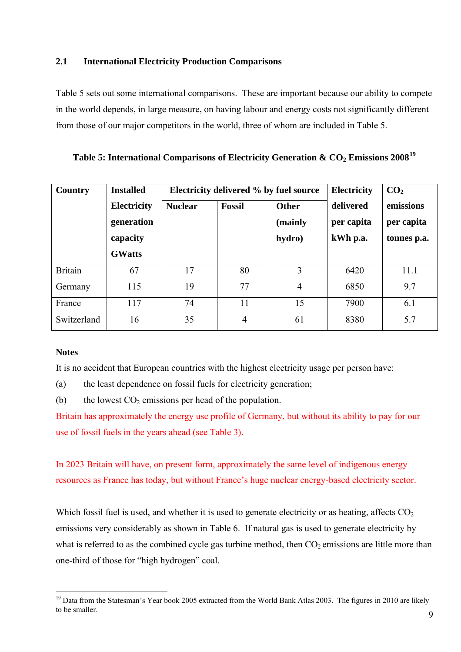## **2.1 International Electricity Production Comparisons**

Table 5 sets out some international comparisons. These are important because our ability to compete in the world depends, in large measure, on having labour and energy costs not significantly different from those of our major competitors in the world, three of whom are included in Table 5.

**Table 5: International Comparisons of Electricity Generation & CO2 Emissions 2008[19](#page-19-0)**

| Country        | <b>Installed</b>                                              |                | Electricity delivered % by fuel source | Electricity                | CO <sub>2</sub>                     |                                        |
|----------------|---------------------------------------------------------------|----------------|----------------------------------------|----------------------------|-------------------------------------|----------------------------------------|
|                | <b>Electricity</b><br>generation<br>capacity<br><b>GWatts</b> | <b>Nuclear</b> | <b>Fossil</b>                          | Other<br>(mainly<br>hydro) | delivered<br>per capita<br>kWh p.a. | emissions<br>per capita<br>tonnes p.a. |
| <b>Britain</b> | 67                                                            | 17             | 80                                     | 3                          | 6420                                | 11.1                                   |
| Germany        | 115                                                           | 19             | 77                                     | $\overline{4}$             | 6850                                | 9.7                                    |
| France         | 117                                                           | 74             | 11                                     | 15                         | 7900                                | 6.1                                    |
| Switzerland    | 16                                                            | 35             | $\overline{4}$                         | 61                         | 8380                                | 5.7                                    |

## **Notes**

It is no accident that European countries with the highest electricity usage per person have:

(a) the least dependence on fossil fuels for electricity generation;

(b) the lowest  $CO<sub>2</sub>$  emissions per head of the population.

Britain has approximately the energy use profile of Germany, but without its ability to pay for our use of fossil fuels in the years ahead (see Table 3).

In 2023 Britain will have, on present form, approximately the same level of indigenous energy resources as France has today, but without France's huge nuclear energy-based electricity sector.

Which fossil fuel is used, and whether it is used to generate electricity or as heating, affects  $CO<sub>2</sub>$ emissions very considerably as shown in Table 6. If natural gas is used to generate electricity by what is referred to as the combined cycle gas turbine method, then  $CO<sub>2</sub>$  emissions are little more than one-third of those for "high hydrogen" coal.

<span id="page-19-0"></span> $\overline{a}$ <sup>19</sup> Data from the Statesman's Year book 2005 extracted from the World Bank Atlas 2003. The figures in 2010 are likely to be smaller.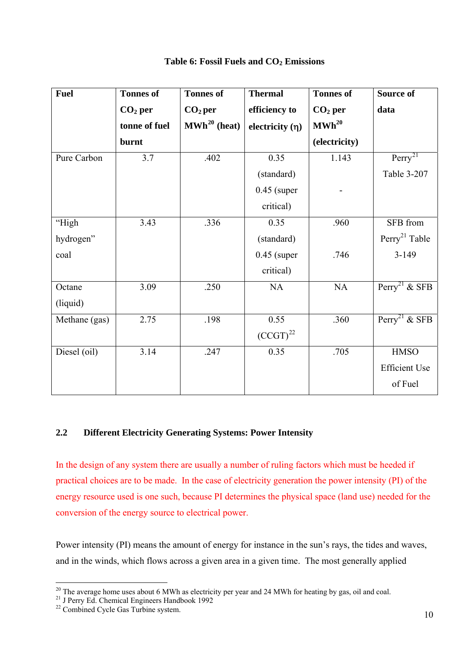| <b>Fuel</b>   | <b>Tonnes of</b> | <b>Tonnes of</b>           | <b>Thermal</b>       | <b>Tonnes of</b>  | Source of                 |
|---------------|------------------|----------------------------|----------------------|-------------------|---------------------------|
|               | $CO2$ per        | $CO2$ per                  | efficiency to        | $CO2$ per         | data                      |
|               | tonne of fuel    | $\mathbf{MWh}^{20}$ (heat) | electricity $(\eta)$ | $\text{MWh}^{20}$ |                           |
|               | burnt            |                            |                      | (electricity)     |                           |
| Pure Carbon   | 3.7              | .402                       | 0.35                 | 1.143             | Perry <sup>21</sup>       |
|               |                  |                            | (standard)           |                   | Table 3-207               |
|               |                  |                            | $0.45$ (super        |                   |                           |
|               |                  |                            | critical)            |                   |                           |
| "High         | 3.43             | .336                       | 0.35                 | .960              | SFB from                  |
| hydrogen"     |                  |                            | (standard)           |                   | Perry <sup>21</sup> Table |
| coal          |                  |                            | $0.45$ (super        | .746              | $3 - 149$                 |
|               |                  |                            | critical)            |                   |                           |
| Octane        | 3.09             | .250                       | NA                   | NA                | Perry <sup>21</sup> & SFB |
| (liquid)      |                  |                            |                      |                   |                           |
| Methane (gas) | 2.75             | .198                       | 0.55                 | .360              | Perry <sup>21</sup> & SFB |
|               |                  |                            | $(CCGT)^{22}$        |                   |                           |
| Diesel (oil)  | 3.14             | .247                       | 0.35                 | .705              | $\operatorname{HMSO}$     |
|               |                  |                            |                      |                   | <b>Efficient Use</b>      |
|               |                  |                            |                      |                   | of Fuel                   |

## Table 6: Fossil Fuels and CO<sub>2</sub> Emissions

## **2.2 Different Electricity Generating Systems: Power Intensity**

In the design of any system there are usually a number of ruling factors which must be heeded if practical choices are to be made. In the case of electricity generation the power intensity (PI) of the energy resource used is one such, because PI determines the physical space (land use) needed for the conversion of the energy source to electrical power.

Power intensity (PI) means the amount of energy for instance in the sun's rays, the tides and waves, and in the winds, which flows across a given area in a given time. The most generally applied

<span id="page-20-0"></span> $20$  The average home uses about 6 MWh as electricity per year and 24 MWh for heating by gas, oil and coal.

<sup>&</sup>lt;sup>21</sup> J Perry Ed. Chemical Engineers Handbook 1992

<span id="page-20-2"></span><span id="page-20-1"></span><sup>&</sup>lt;sup>22</sup> Combined Cycle Gas Turbine system.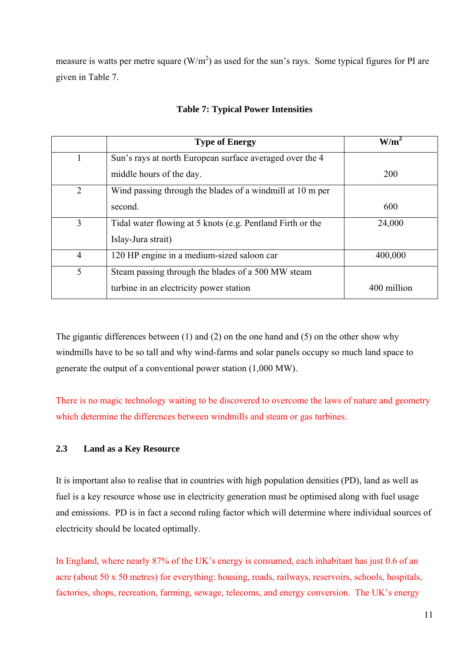measure is watts per metre square  $(W/m^2)$  as used for the sun's rays. Some typical figures for PI are given in Table 7.

|                | <b>Type of Energy</b>                                      | W/m         |
|----------------|------------------------------------------------------------|-------------|
| 1              | Sun's rays at north European surface averaged over the 4   |             |
|                | middle hours of the day.                                   | 200         |
| $\overline{2}$ | Wind passing through the blades of a windmill at 10 m per  |             |
|                | second.                                                    | 600         |
| 3              | Tidal water flowing at 5 knots (e.g. Pentland Firth or the | 24,000      |
|                | Islay-Jura strait)                                         |             |
| $\overline{4}$ | 120 HP engine in a medium-sized saloon car                 | 400,000     |
| 5              | Steam passing through the blades of a 500 MW steam         |             |
|                | turbine in an electricity power station                    | 400 million |

## **Table 7: Typical Power Intensities**

The gigantic differences between (1) and (2) on the one hand and (5) on the other show why windmills have to be so tall and why wind-farms and solar panels occupy so much land space to generate the output of a conventional power station (1,000 MW).

There is no magic technology waiting to be discovered to overcome the laws of nature and geometry which determine the differences between windmills and steam or gas turbines.

## **2.3 Land as a Key Resource**

It is important also to realise that in countries with high population densities (PD), land as well as fuel is a key resource whose use in electricity generation must be optimised along with fuel usage and emissions. PD is in fact a second ruling factor which will determine where individual sources of electricity should be located optimally.

In England, where nearly 87% of the UK's energy is consumed, each inhabitant has just 0.6 of an acre (about 50 x 50 metres) for everything: housing, roads, railways, reservoirs, schools, hospitals, factories, shops, recreation, farming, sewage, telecoms, and energy conversion. The UK's energy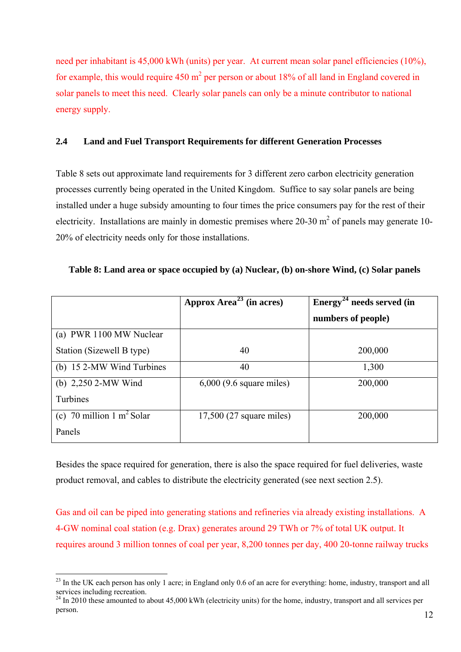need per inhabitant is 45,000 kWh (units) per year. At current mean solar panel efficiencies (10%), for example, this would require 450  $m^2$  per person or about 18% of all land in England covered in solar panels to meet this need. Clearly solar panels can only be a minute contributor to national energy supply.

## **2.4 Land and Fuel Transport Requirements for different Generation Processes**

Table 8 sets out approximate land requirements for 3 different zero carbon electricity generation processes currently being operated in the United Kingdom. Suffice to say solar panels are being installed under a huge subsidy amounting to four times the price consumers pay for the rest of their electricity. Installations are mainly in domestic premises where 20-30  $m<sup>2</sup>$  of panels may generate 10-20% of electricity needs only for those installations.

|                                      | Approx Area <sup>23</sup> (in acres) | Energy <sup>24</sup> needs served (in |
|--------------------------------------|--------------------------------------|---------------------------------------|
|                                      |                                      | numbers of people)                    |
| (a) PWR 1100 MW Nuclear              |                                      |                                       |
| Station (Sizewell B type)            | 40                                   | 200,000                               |
| (b) 15 2-MW Wind Turbines            | 40                                   | 1,300                                 |
| (b) $2,250$ 2-MW Wind                | $6,000$ (9.6 square miles)           | 200,000                               |
| Turbines                             |                                      |                                       |
| (c) 70 million $1 \text{ m}^2$ Solar | $17,500$ (27 square miles)           | 200,000                               |
| Panels                               |                                      |                                       |

Besides the space required for generation, there is also the space required for fuel deliveries, waste product removal, and cables to distribute the electricity generated (see next section 2.5).

Gas and oil can be piped into generating stations and refineries via already existing installations. A 4-GW nominal coal station (e.g. Drax) generates around 29 TWh or 7% of total UK output. It requires around 3 million tonnes of coal per year, 8,200 tonnes per day, 400 20-tonne railway trucks

<span id="page-22-0"></span> $^{23}$  In the UK each person has only 1 acre; in England only 0.6 of an acre for everything; home, industry, transport and all services including recreation.

<span id="page-22-1"></span> $^{24}$  In 2010 these amounted to about 45,000 kWh (electricity units) for the home, industry, transport and all services per person.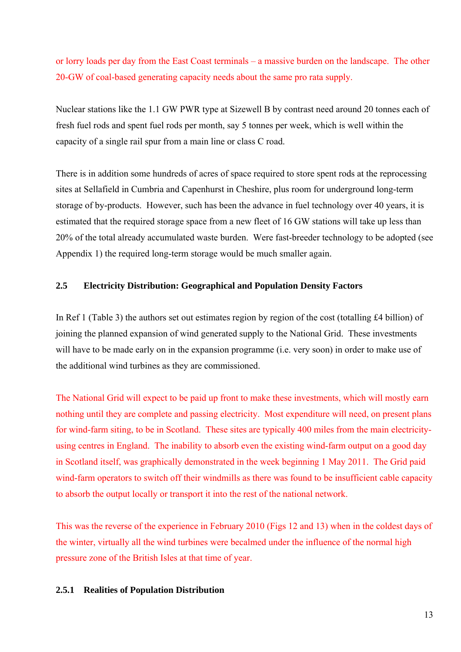or lorry loads per day from the East Coast terminals – a massive burden on the landscape. The other 20-GW of coal-based generating capacity needs about the same pro rata supply.

Nuclear stations like the 1.1 GW PWR type at Sizewell B by contrast need around 20 tonnes each of fresh fuel rods and spent fuel rods per month, say 5 tonnes per week, which is well within the capacity of a single rail spur from a main line or class C road.

There is in addition some hundreds of acres of space required to store spent rods at the reprocessing sites at Sellafield in Cumbria and Capenhurst in Cheshire, plus room for underground long-term storage of by-products. However, such has been the advance in fuel technology over 40 years, it is estimated that the required storage space from a new fleet of 16 GW stations will take up less than 20% of the total already accumulated waste burden. Were fast-breeder technology to be adopted (see Appendix 1) the required long-term storage would be much smaller again.

## **2.5 Electricity Distribution: Geographical and Population Density Factors**

In Ref 1 (Table 3) the authors set out estimates region by region of the cost (totalling £4 billion) of joining the planned expansion of wind generated supply to the National Grid. These investments will have to be made early on in the expansion programme (i.e. very soon) in order to make use of the additional wind turbines as they are commissioned.

The National Grid will expect to be paid up front to make these investments, which will mostly earn nothing until they are complete and passing electricity. Most expenditure will need, on present plans for wind-farm siting, to be in Scotland. These sites are typically 400 miles from the main electricityusing centres in England. The inability to absorb even the existing wind-farm output on a good day in Scotland itself, was graphically demonstrated in the week beginning 1 May 2011. The Grid paid wind-farm operators to switch off their windmills as there was found to be insufficient cable capacity to absorb the output locally or transport it into the rest of the national network.

This was the reverse of the experience in February 2010 (Figs 12 and 13) when in the coldest days of the winter, virtually all the wind turbines were becalmed under the influence of the normal high pressure zone of the British Isles at that time of year.

## **2.5.1 Realities of Population Distribution**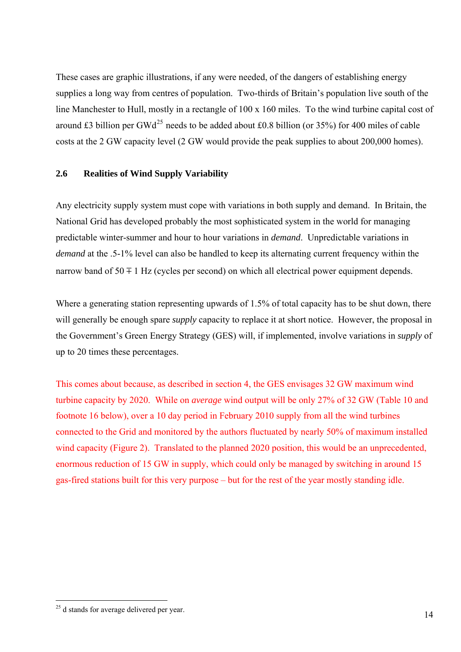These cases are graphic illustrations, if any were needed, of the dangers of establishing energy supplies a long way from centres of population. Two-thirds of Britain's population live south of the line Manchester to Hull, mostly in a rectangle of 100 x 160 miles. To the wind turbine capital cost of around £3 billion per GWd<sup>[25](#page-24-0)</sup> needs to be added about £0.8 billion (or  $35\%$ ) for 400 miles of cable costs at the 2 GW capacity level (2 GW would provide the peak supplies to about 200,000 homes).

## **2.6 Realities of Wind Supply Variability**

Any electricity supply system must cope with variations in both supply and demand. In Britain, the National Grid has developed probably the most sophisticated system in the world for managing predictable winter-summer and hour to hour variations in *demand*. Unpredictable variations in *demand* at the .5-1% level can also be handled to keep its alternating current frequency within the narrow band of  $50 \pm 1$  Hz (cycles per second) on which all electrical power equipment depends.

Where a generating station representing upwards of 1.5% of total capacity has to be shut down, there will generally be enough spare *supply* capacity to replace it at short notice. However, the proposal in the Government's Green Energy Strategy (GES) will, if implemented, involve variations in *supply* of up to 20 times these percentages.

This comes about because, as described in section 4, the GES envisages 32 GW maximum wind turbine capacity by 2020. While on *average* wind output will be only 27% of 32 GW (Table 10 and footnote 16 below), over a 10 day period in February 2010 supply from all the wind turbines connected to the Grid and monitored by the authors fluctuated by nearly 50% of maximum installed wind capacity (Figure 2). Translated to the planned 2020 position, this would be an unprecedented, enormous reduction of 15 GW in supply, which could only be managed by switching in around 15 gas-fired stations built for this very purpose – but for the rest of the year mostly standing idle.

<span id="page-24-0"></span> $\overline{a}$  $2<sup>25</sup>$  d stands for average delivered per year.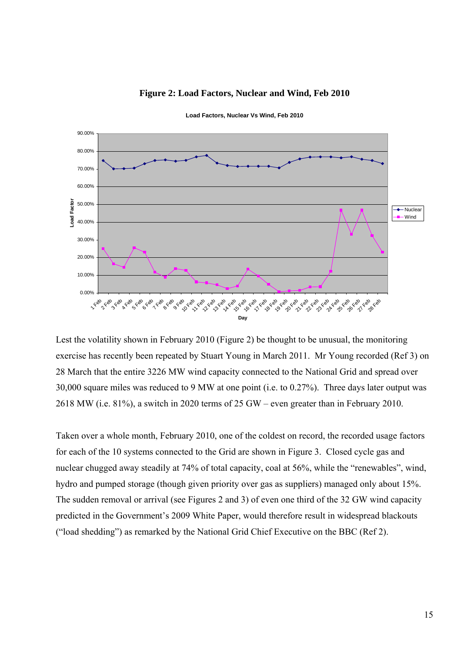

#### **Figure 2: Load Factors, Nuclear and Wind, Feb 2010**

**Load Factors, Nuclear Vs Wind, Feb 2010** 

Lest the volatility shown in February 2010 (Figure 2) be thought to be unusual, the monitoring exercise has recently been repeated by Stuart Young in March 2011. Mr Young recorded (Ref 3) on 28 March that the entire 3226 MW wind capacity connected to the National Grid and spread over 30,000 square miles was reduced to 9 MW at one point (i.e. to 0.27%). Three days later output was 2618 MW (i.e. 81%), a switch in 2020 terms of 25 GW – even greater than in February 2010.

Taken over a whole month, February 2010, one of the coldest on record, the recorded usage factors for each of the 10 systems connected to the Grid are shown in Figure 3. Closed cycle gas and nuclear chugged away steadily at 74% of total capacity, coal at 56%, while the "renewables", wind, hydro and pumped storage (though given priority over gas as suppliers) managed only about 15%. The sudden removal or arrival (see Figures 2 and 3) of even one third of the 32 GW wind capacity predicted in the Government's 2009 White Paper, would therefore result in widespread blackouts ("load shedding") as remarked by the National Grid Chief Executive on the BBC (Ref 2).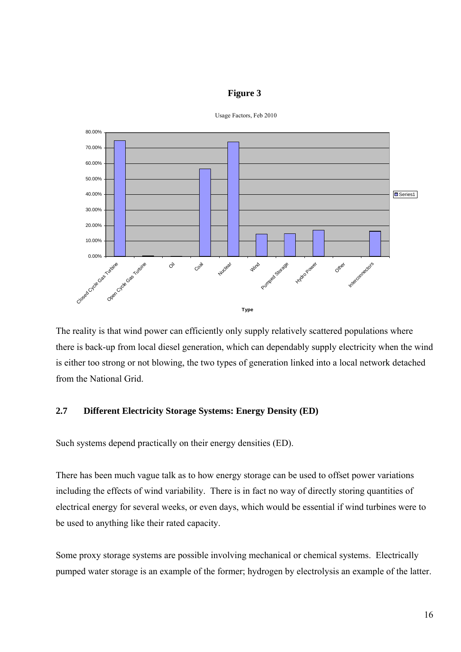#### **Figure 3**



**Usage Factor, Feb 2011** Usage Factors, Feb 2010

The reality is that wind power can efficiently only supply relatively scattered populations where there is back-up from local diesel generation, which can dependably supply electricity when the wind is either too strong or not blowing, the two types of generation linked into a local network detached from the National Grid.

## **2.7 Different Electricity Storage Systems: Energy Density (ED)**

Such systems depend practically on their energy densities (ED).

There has been much vague talk as to how energy storage can be used to offset power variations including the effects of wind variability. There is in fact no way of directly storing quantities of electrical energy for several weeks, or even days, which would be essential if wind turbines were to be used to anything like their rated capacity.

Some proxy storage systems are possible involving mechanical or chemical systems. Electrically pumped water storage is an example of the former; hydrogen by electrolysis an example of the latter.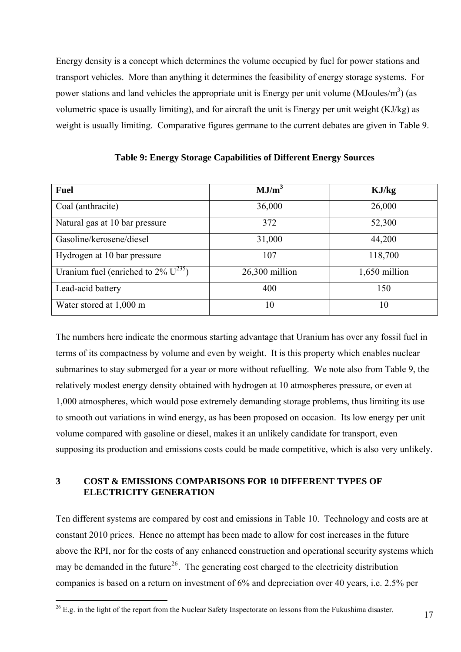Energy density is a concept which determines the volume occupied by fuel for power stations and transport vehicles. More than anything it determines the feasibility of energy storage systems. For power stations and land vehicles the appropriate unit is Energy per unit volume (MJoules/m<sup>3</sup>) (as volumetric space is usually limiting), and for aircraft the unit is Energy per unit weight (KJ/kg) as weight is usually limiting. Comparative figures germane to the current debates are given in Table 9.

| <b>Fuel</b>                                        | MJ/m <sup>3</sup> | KJ/kg         |
|----------------------------------------------------|-------------------|---------------|
| Coal (anthracite)                                  | 36,000            | 26,000        |
| Natural gas at 10 bar pressure                     | 372               | 52,300        |
| Gasoline/kerosene/diesel                           | 31,000            | 44,200        |
| Hydrogen at 10 bar pressure                        | 107               | 118,700       |
| Uranium fuel (enriched to $2\%$ U <sup>235</sup> ) | 26,300 million    | 1,650 million |
| Lead-acid battery                                  | 400               | 150           |
| Water stored at 1,000 m                            | 10                | 10            |

**Table 9: Energy Storage Capabilities of Different Energy Sources** 

The numbers here indicate the enormous starting advantage that Uranium has over any fossil fuel in terms of its compactness by volume and even by weight. It is this property which enables nuclear submarines to stay submerged for a year or more without refuelling. We note also from Table 9, the relatively modest energy density obtained with hydrogen at 10 atmospheres pressure, or even at 1,000 atmospheres, which would pose extremely demanding storage problems, thus limiting its use to smooth out variations in wind energy, as has been proposed on occasion. Its low energy per unit volume compared with gasoline or diesel, makes it an unlikely candidate for transport, even supposing its production and emissions costs could be made competitive, which is also very unlikely.

## **3 COST & EMISSIONS COMPARISONS FOR 10 DIFFERENT TYPES OF ELECTRICITY GENERATION**

Ten different systems are compared by cost and emissions in Table 10. Technology and costs are at constant 2010 prices. Hence no attempt has been made to allow for cost increases in the future above the RPI, nor for the costs of any enhanced construction and operational security systems which may be demanded in the future<sup>[26](#page-27-0)</sup>. The generating cost charged to the electricity distribution companies is based on a return on investment of 6% and depreciation over 40 years, i.e. 2.5% per

<span id="page-27-0"></span> $^{26}$  E.g. in the light of the report from the Nuclear Safety Inspectorate on lessons from the Fukushima disaster.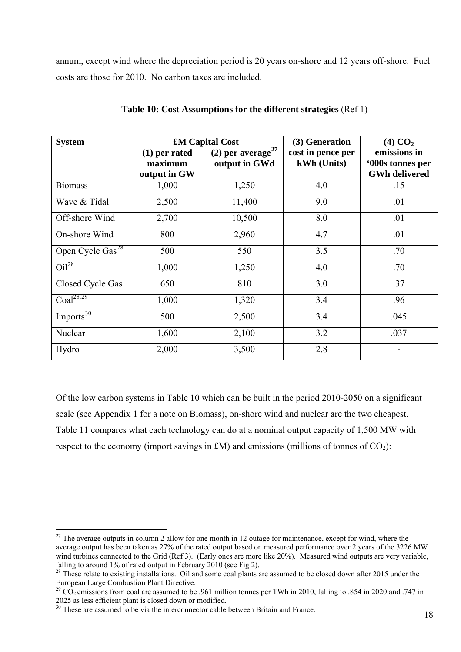annum, except wind where the depreciation period is 20 years on-shore and 12 years off-shore. Fuel costs are those for 2010. No carbon taxes are included.

| <b>System</b>                | £M Capital Cost                            |                                                | (3) Generation                   | $(4)$ CO <sub>2</sub>                                    |
|------------------------------|--------------------------------------------|------------------------------------------------|----------------------------------|----------------------------------------------------------|
|                              | $(1)$ per rated<br>maximum<br>output in GW | (2) per average <sup>27</sup><br>output in GWd | cost in pence per<br>kWh (Units) | emissions in<br>'000s tonnes per<br><b>GWh delivered</b> |
| <b>Biomass</b>               | 1,000                                      | 1,250                                          | 4.0                              | .15                                                      |
| Wave & Tidal                 | 2,500                                      | 11,400                                         | 9.0                              | .01                                                      |
| Off-shore Wind               | 2,700                                      | 10,500                                         | 8.0                              | .01                                                      |
| On-shore Wind                | 800                                        | 2,960                                          | 4.7                              | .01                                                      |
| Open Cycle Gas <sup>28</sup> | 500                                        | 550                                            | 3.5                              | .70                                                      |
| $Oi^{28}$                    | 1,000                                      | 1,250                                          | 4.0                              | .70                                                      |
| Closed Cycle Gas             | 650                                        | 810                                            | 3.0                              | .37                                                      |
| Coal <sup>28,29</sup>        | 1,000                                      | 1,320                                          | 3.4                              | .96                                                      |
| Imports <sup>30</sup>        | 500                                        | 2,500                                          | 3.4                              | .045                                                     |
| Nuclear                      | 1,600                                      | 2,100                                          | 3.2                              | .037                                                     |
| Hydro                        | 2,000                                      | 3,500                                          | 2.8                              |                                                          |

## **Table 10: Cost Assumptions for the different strategies** (Ref 1)

Of the low carbon systems in Table 10 which can be built in the period 2010-2050 on a significant scale (see Appendix 1 for a note on Biomass), on-shore wind and nuclear are the two cheapest. Table 11 compares what each technology can do at a nominal output capacity of 1,500 MW with respect to the economy (import savings in £M) and emissions (millions of tonnes of  $CO<sub>2</sub>$ ):

<span id="page-28-0"></span> $27$  The average outputs in column 2 allow for one month in 12 outage for maintenance, except for wind, where the average output has been taken as 27% of the rated output based on measured performance over 2 years of the 3226 MW wind turbines connected to the Grid (Ref 3). (Early ones are more like 20%). Measured wind outputs are very variable, falling to around 1% of rated output in February 2010 (see Fig 2).

<span id="page-28-1"></span><sup>&</sup>lt;sup>28</sup> These relate to existing installations. Oil and some coal plants are assumed to be closed down after 2015 under the European Large Combustion Plant Directive.

<span id="page-28-2"></span><sup>&</sup>lt;sup>29</sup> CO<sub>2</sub> emissions from coal are assumed to be .961 million tonnes per TWh in 2010, falling to .854 in 2020 and .747 in 2025 as less efficient plant is closed down or modified.

<span id="page-28-3"></span><sup>&</sup>lt;sup>30</sup> These are assumed to be via the interconnector cable between Britain and France.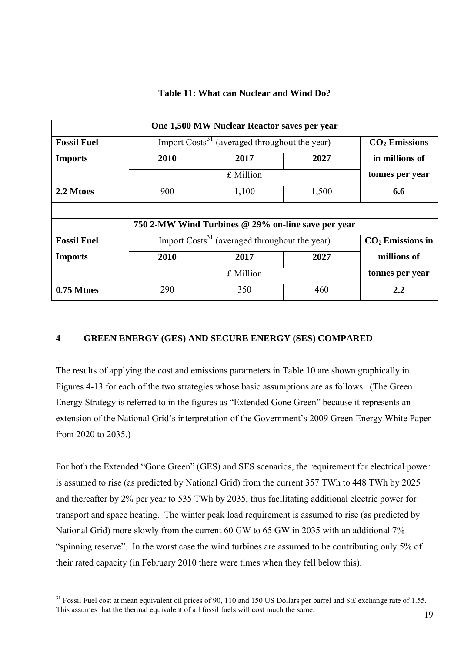|  |  | Table 11: What can Nuclear and Wind Do? |  |
|--|--|-----------------------------------------|--|
|--|--|-----------------------------------------|--|

| One 1,500 MW Nuclear Reactor saves per year |      |                                                           |       |                    |
|---------------------------------------------|------|-----------------------------------------------------------|-------|--------------------|
| <b>Fossil Fuel</b>                          |      | Import Costs <sup>31</sup> (averaged throughout the year) |       | $CO2$ Emissions    |
| <b>Imports</b>                              | 2010 | 2017                                                      | 2027  | in millions of     |
|                                             |      | £ Million                                                 |       | tonnes per year    |
| 2.2 Mtoes                                   | 900  | 1,100                                                     | 1,500 | 6.6                |
|                                             |      |                                                           |       |                    |
|                                             |      | 750 2-MW Wind Turbines @ 29% on-line save per year        |       |                    |
| <b>Fossil Fuel</b>                          |      | Import Costs <sup>31</sup> (averaged throughout the year) |       | $CO2$ Emissions in |
| <b>Imports</b>                              | 2010 | 2017                                                      | 2027  | millions of        |
|                                             |      | £ Million                                                 |       | tonnes per year    |
| 0.75 Mtoes                                  | 290  | 350                                                       | 460   | 2.2                |

## **4 GREEN ENERGY (GES) AND SECURE ENERGY (SES) COMPARED**

The results of applying the cost and emissions parameters in Table 10 are shown graphically in Figures 4-13 for each of the two strategies whose basic assumptions are as follows. (The Green Energy Strategy is referred to in the figures as "Extended Gone Green" because it represents an extension of the National Grid's interpretation of the Government's 2009 Green Energy White Paper from 2020 to 2035.)

For both the Extended "Gone Green" (GES) and SES scenarios, the requirement for electrical power is assumed to rise (as predicted by National Grid) from the current 357 TWh to 448 TWh by 2025 and thereafter by 2% per year to 535 TWh by 2035, thus facilitating additional electric power for transport and space heating. The winter peak load requirement is assumed to rise (as predicted by National Grid) more slowly from the current 60 GW to 65 GW in 2035 with an additional 7% "spinning reserve". In the worst case the wind turbines are assumed to be contributing only 5% of their rated capacity (in February 2010 there were times when they fell below this).

<span id="page-29-0"></span> $31$  Fossil Fuel cost at mean equivalent oil prices of 90, 110 and 150 US Dollars per barrel and \$:£ exchange rate of 1.55. This assumes that the thermal equivalent of all fossil fuels will cost much the same.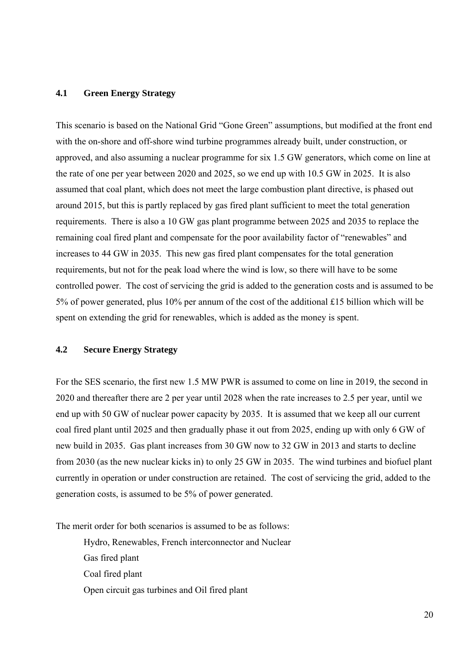## **4.1 Green Energy Strategy**

This scenario is based on the National Grid "Gone Green" assumptions, but modified at the front end with the on-shore and off-shore wind turbine programmes already built, under construction, or approved, and also assuming a nuclear programme for six 1.5 GW generators, which come on line at the rate of one per year between 2020 and 2025, so we end up with 10.5 GW in 2025. It is also assumed that coal plant, which does not meet the large combustion plant directive, is phased out around 2015, but this is partly replaced by gas fired plant sufficient to meet the total generation requirements. There is also a 10 GW gas plant programme between 2025 and 2035 to replace the remaining coal fired plant and compensate for the poor availability factor of "renewables" and increases to 44 GW in 2035. This new gas fired plant compensates for the total generation requirements, but not for the peak load where the wind is low, so there will have to be some controlled power. The cost of servicing the grid is added to the generation costs and is assumed to be 5% of power generated, plus 10% per annum of the cost of the additional £15 billion which will be spent on extending the grid for renewables, which is added as the money is spent.

#### **4.2 Secure Energy Strategy**

For the SES scenario, the first new 1.5 MW PWR is assumed to come on line in 2019, the second in 2020 and thereafter there are 2 per year until 2028 when the rate increases to 2.5 per year, until we end up with 50 GW of nuclear power capacity by 2035. It is assumed that we keep all our current coal fired plant until 2025 and then gradually phase it out from 2025, ending up with only 6 GW of new build in 2035. Gas plant increases from 30 GW now to 32 GW in 2013 and starts to decline from 2030 (as the new nuclear kicks in) to only 25 GW in 2035. The wind turbines and biofuel plant currently in operation or under construction are retained. The cost of servicing the grid, added to the generation costs, is assumed to be 5% of power generated.

The merit order for both scenarios is assumed to be as follows:

 Hydro, Renewables, French interconnector and Nuclear Gas fired plant Coal fired plant Open circuit gas turbines and Oil fired plant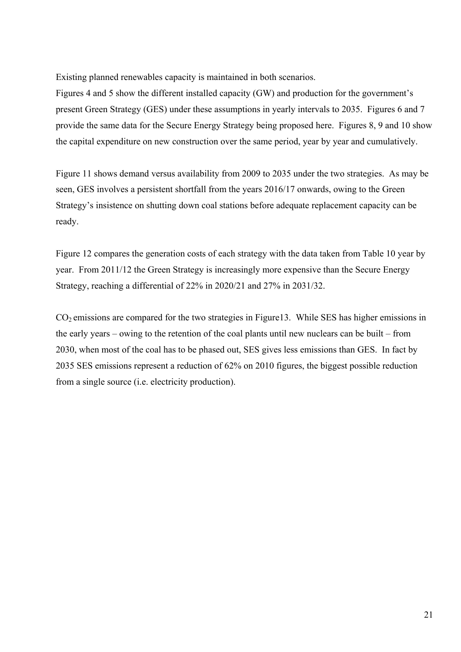Existing planned renewables capacity is maintained in both scenarios.

Figures 4 and 5 show the different installed capacity (GW) and production for the government's present Green Strategy (GES) under these assumptions in yearly intervals to 2035. Figures 6 and 7 provide the same data for the Secure Energy Strategy being proposed here. Figures 8, 9 and 10 show the capital expenditure on new construction over the same period, year by year and cumulatively.

Figure 11 shows demand versus availability from 2009 to 2035 under the two strategies. As may be seen, GES involves a persistent shortfall from the years 2016/17 onwards, owing to the Green Strategy's insistence on shutting down coal stations before adequate replacement capacity can be ready.

Figure 12 compares the generation costs of each strategy with the data taken from Table 10 year by year. From 2011/12 the Green Strategy is increasingly more expensive than the Secure Energy Strategy, reaching a differential of 22% in 2020/21 and 27% in 2031/32.

 $CO<sub>2</sub>$  emissions are compared for the two strategies in Figure13. While SES has higher emissions in the early years – owing to the retention of the coal plants until new nuclears can be built – from 2030, when most of the coal has to be phased out, SES gives less emissions than GES. In fact by 2035 SES emissions represent a reduction of 62% on 2010 figures, the biggest possible reduction from a single source (i.e. electricity production).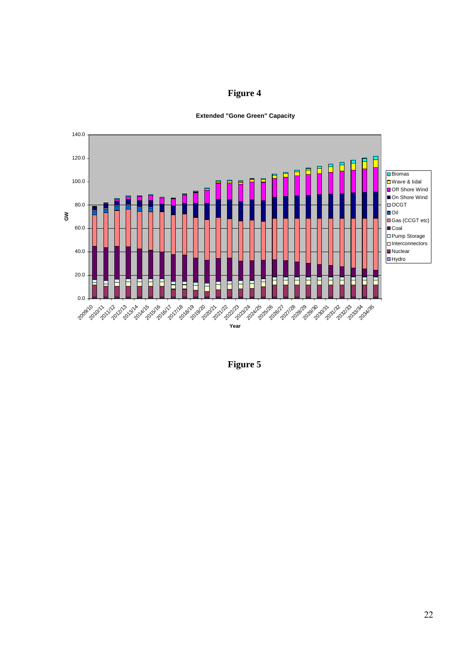



**Extended "Gone Green" Capacity**

**Figure 5**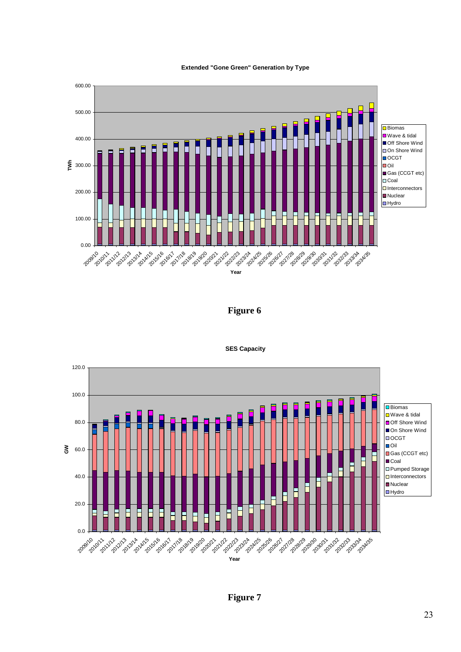

600.00



**Figure 6** 



**SES Capacity**

**Figure 7**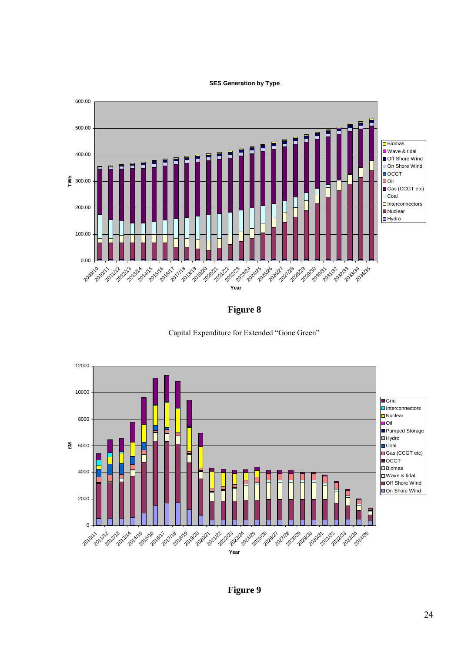#### **SES Generation by Type**



**Figure 8** 





**Figure 9**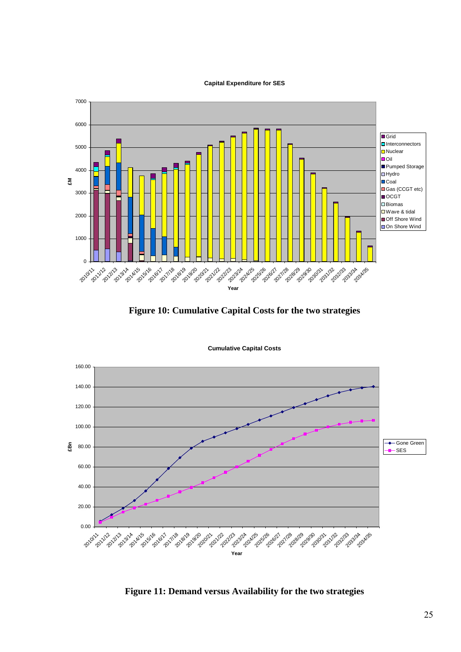#### **Capital Expenditure for SES**



**Figure 10: Cumulative Capital Costs for the two strategies** 



**Cumulative Capital Costs**

**Figure 11: Demand versus Availability for the two strategies**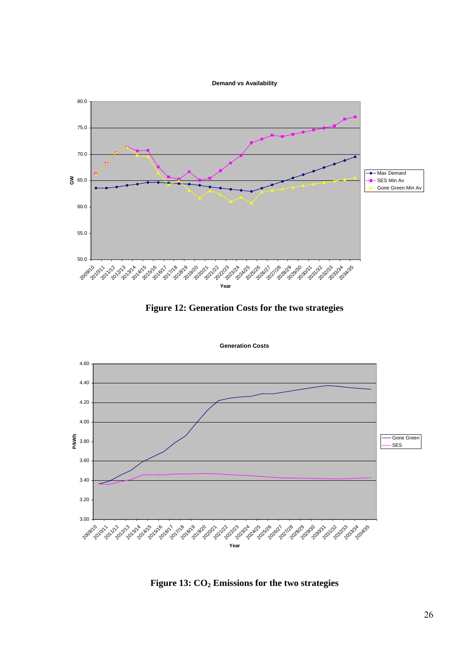



**Figure 12: Generation Costs for the two strategies** 

**Generation Costs**



Figure 13:  $CO<sub>2</sub>$  Emissions for the two strategies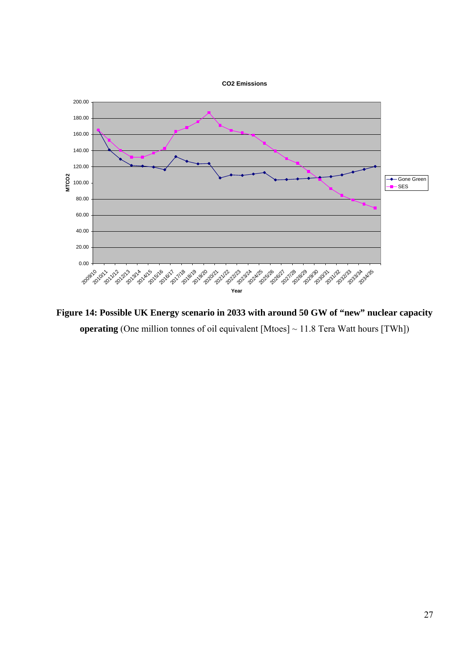



**Figure 14: Possible UK Energy scenario in 2033 with around 50 GW of "new" nuclear capacity operating** (One million tonnes of oil equivalent [Mtoes] ~ 11.8 Tera Watt hours [TWh])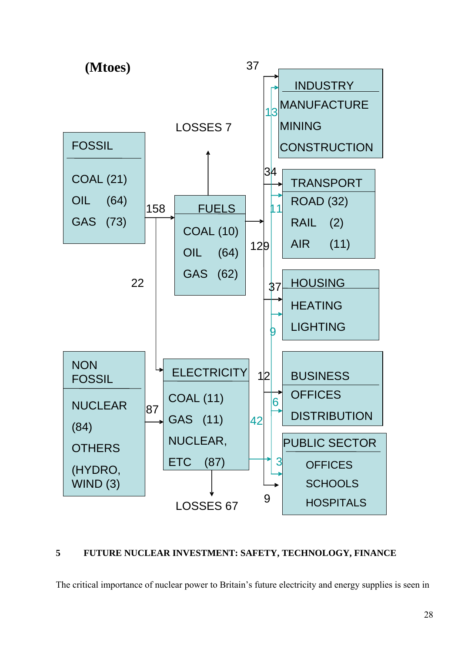

## **5 FUTURE NUCLEAR INVESTMENT: SAFETY, TECHNOLOGY, FINANCE**

The critical importance of nuclear power to Britain's future electricity and energy supplies is seen in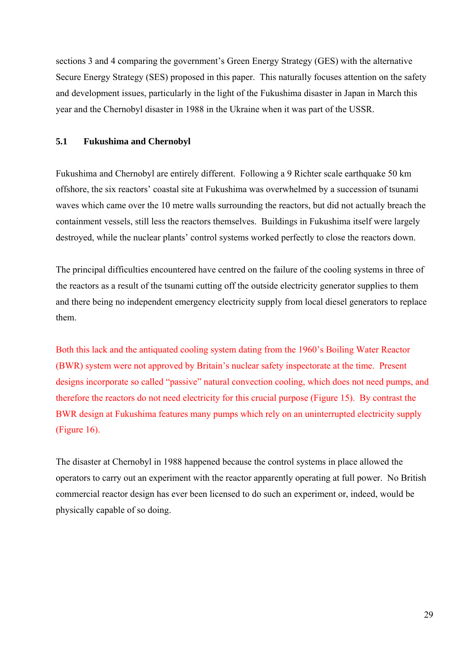sections 3 and 4 comparing the government's Green Energy Strategy (GES) with the alternative Secure Energy Strategy (SES) proposed in this paper. This naturally focuses attention on the safety and development issues, particularly in the light of the Fukushima disaster in Japan in March this year and the Chernobyl disaster in 1988 in the Ukraine when it was part of the USSR.

## **5.1 Fukushima and Chernobyl**

Fukushima and Chernobyl are entirely different. Following a 9 Richter scale earthquake 50 km offshore, the six reactors' coastal site at Fukushima was overwhelmed by a succession of tsunami waves which came over the 10 metre walls surrounding the reactors, but did not actually breach the containment vessels, still less the reactors themselves. Buildings in Fukushima itself were largely destroyed, while the nuclear plants' control systems worked perfectly to close the reactors down.

The principal difficulties encountered have centred on the failure of the cooling systems in three of the reactors as a result of the tsunami cutting off the outside electricity generator supplies to them and there being no independent emergency electricity supply from local diesel generators to replace them.

Both this lack and the antiquated cooling system dating from the 1960's Boiling Water Reactor (BWR) system were not approved by Britain's nuclear safety inspectorate at the time. Present designs incorporate so called "passive" natural convection cooling, which does not need pumps, and therefore the reactors do not need electricity for this crucial purpose (Figure 15). By contrast the BWR design at Fukushima features many pumps which rely on an uninterrupted electricity supply (Figure 16).

The disaster at Chernobyl in 1988 happened because the control systems in place allowed the operators to carry out an experiment with the reactor apparently operating at full power. No British commercial reactor design has ever been licensed to do such an experiment or, indeed, would be physically capable of so doing.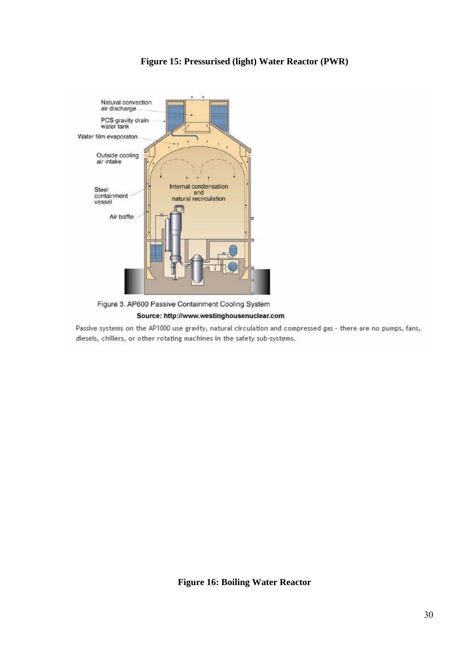

## **Figure 15: Pressurised (light) Water Reactor (PWR)**

Source: http://www.westinghousenuclear.com

Passive systems on the AP1000 use gravity, natural circulation and compressed gas - there are no pumps, fans, diesels, chillers, or other rotating machines in the safety sub-systems.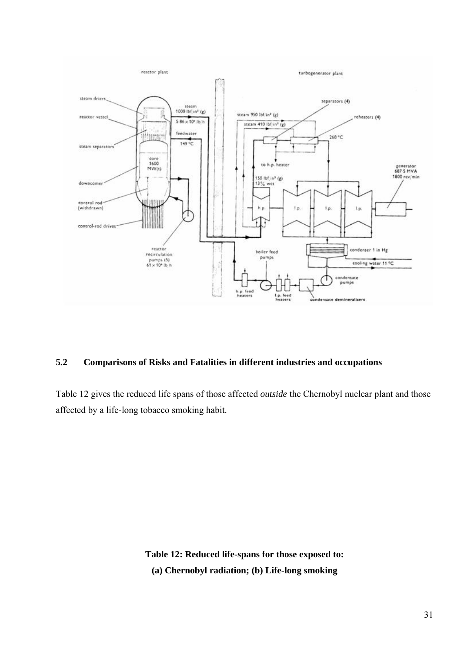

## **5.2 Comparisons of Risks and Fatalities in different industries and occupations**

Table 12 gives the reduced life spans of those affected *outside* the Chernobyl nuclear plant and those affected by a life-long tobacco smoking habit.

> **Table 12: Reduced life-spans for those exposed to: (a) Chernobyl radiation; (b) Life-long smoking**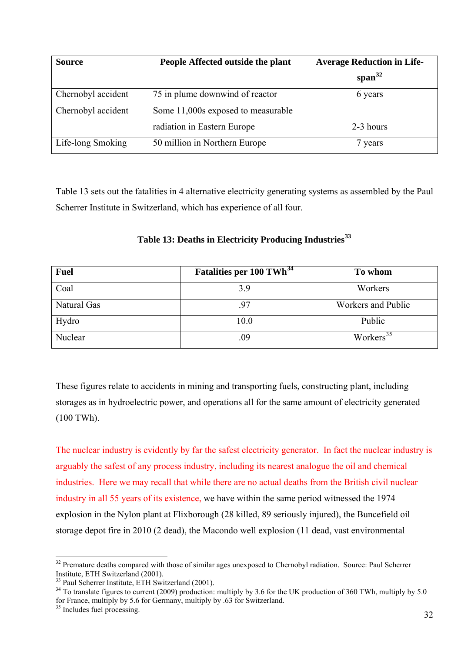| <b>Source</b>      | People Affected outside the plant  | <b>Average Reduction in Life-</b> |
|--------------------|------------------------------------|-----------------------------------|
|                    |                                    | span $32$                         |
| Chernobyl accident | 75 in plume downwind of reactor    | 6 years                           |
| Chernobyl accident | Some 11,000s exposed to measurable |                                   |
|                    | radiation in Eastern Europe        | 2-3 hours                         |
| Life-long Smoking  | 50 million in Northern Europe      | 7 years                           |

Table 13 sets out the fatalities in 4 alternative electricity generating systems as assembled by the Paul Scherrer Institute in Switzerland, which has experience of all four.

| <b>Fuel</b> | Fatalities per 100 TWh <sup>34</sup> | To whom               |
|-------------|--------------------------------------|-----------------------|
| Coal        | 3.9                                  | Workers               |
| Natural Gas | .97                                  | Workers and Public    |
| Hydro       | 10.0                                 | Public                |
| Nuclear     | 09                                   | Workers <sup>35</sup> |

## **Table 13: Deaths in Electricity Producing Industries[33](#page-42-1)**

These figures relate to accidents in mining and transporting fuels, constructing plant, including storages as in hydroelectric power, and operations all for the same amount of electricity generated (100 TWh).

The nuclear industry is evidently by far the safest electricity generator. In fact the nuclear industry is arguably the safest of any process industry, including its nearest analogue the oil and chemical industries. Here we may recall that while there are no actual deaths from the British civil nuclear industry in all 55 years of its existence, we have within the same period witnessed the 1974 explosion in the Nylon plant at Flixborough (28 killed, 89 seriously injured), the Buncefield oil storage depot fire in 2010 (2 dead), the Macondo well explosion (11 dead, vast environmental

<span id="page-42-0"></span><sup>&</sup>lt;sup>32</sup> Premature deaths compared with those of similar ages unexposed to Chernobyl radiation. Source: Paul Scherrer Institute, ETH Switzerland (2001).

<span id="page-42-1"></span> $33$  Paul Scherrer Institute, ETH Switzerland (2001).

<span id="page-42-2"></span><sup>&</sup>lt;sup>34</sup> To translate figures to current (2009) production: multiply by 3.6 for the UK production of 360 TWh, multiply by 5.0 for France, multiply by 5.6 for Germany, multiply by .63 for Switzerland.

<span id="page-42-3"></span><sup>&</sup>lt;sup>35</sup> Includes fuel processing.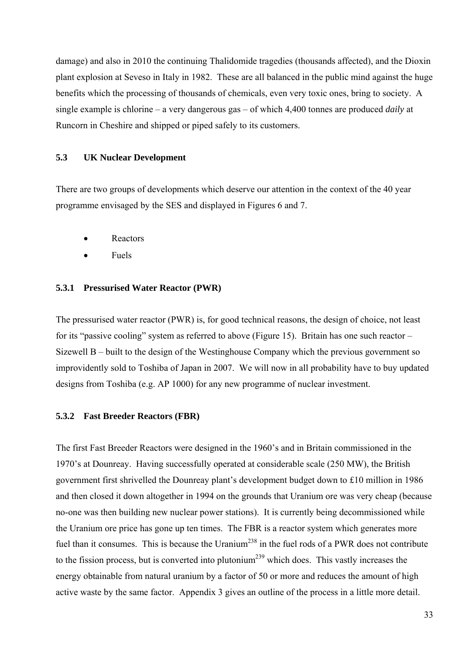damage) and also in 2010 the continuing Thalidomide tragedies (thousands affected), and the Dioxin plant explosion at Seveso in Italy in 1982. These are all balanced in the public mind against the huge benefits which the processing of thousands of chemicals, even very toxic ones, bring to society. A single example is chlorine – a very dangerous gas – of which 4,400 tonnes are produced *daily* at Runcorn in Cheshire and shipped or piped safely to its customers.

## **5.3 UK Nuclear Development**

There are two groups of developments which deserve our attention in the context of the 40 year programme envisaged by the SES and displayed in Figures 6 and 7.

- **Reactors**
- Fuels

#### **5.3.1 Pressurised Water Reactor (PWR)**

The pressurised water reactor (PWR) is, for good technical reasons, the design of choice, not least for its "passive cooling" system as referred to above (Figure 15). Britain has one such reactor – Sizewell B – built to the design of the Westinghouse Company which the previous government so improvidently sold to Toshiba of Japan in 2007. We will now in all probability have to buy updated designs from Toshiba (e.g. AP 1000) for any new programme of nuclear investment.

#### **5.3.2 Fast Breeder Reactors (FBR)**

The first Fast Breeder Reactors were designed in the 1960's and in Britain commissioned in the 1970's at Dounreay. Having successfully operated at considerable scale (250 MW), the British government first shrivelled the Dounreay plant's development budget down to £10 million in 1986 and then closed it down altogether in 1994 on the grounds that Uranium ore was very cheap (because no-one was then building new nuclear power stations). It is currently being decommissioned while the Uranium ore price has gone up ten times. The FBR is a reactor system which generates more fuel than it consumes. This is because the Uranium<sup>238</sup> in the fuel rods of a PWR does not contribute to the fission process, but is converted into plutonium<sup>239</sup> which does. This vastly increases the energy obtainable from natural uranium by a factor of 50 or more and reduces the amount of high active waste by the same factor. Appendix 3 gives an outline of the process in a little more detail.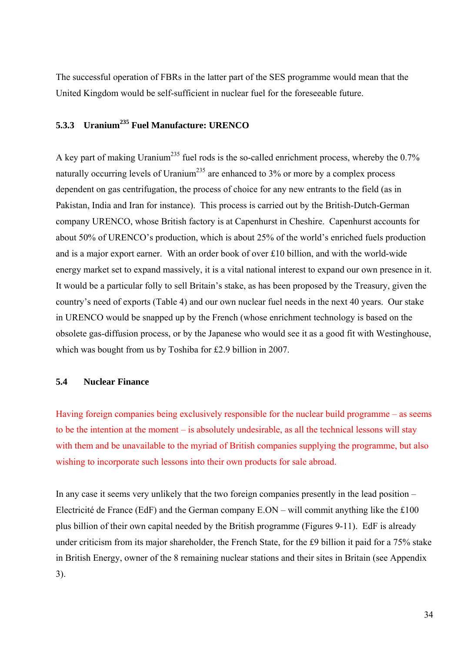The successful operation of FBRs in the latter part of the SES programme would mean that the United Kingdom would be self-sufficient in nuclear fuel for the foreseeable future.

## **5.3.3 Uranium235 Fuel Manufacture: URENCO**

A key part of making Uranium<sup>235</sup> fuel rods is the so-called enrichment process, whereby the  $0.7\%$ naturally occurring levels of Uranium<sup>235</sup> are enhanced to  $3\%$  or more by a complex process dependent on gas centrifugation, the process of choice for any new entrants to the field (as in Pakistan, India and Iran for instance). This process is carried out by the British-Dutch-German company URENCO, whose British factory is at Capenhurst in Cheshire. Capenhurst accounts for about 50% of URENCO's production, which is about 25% of the world's enriched fuels production and is a major export earner. With an order book of over £10 billion, and with the world-wide energy market set to expand massively, it is a vital national interest to expand our own presence in it. It would be a particular folly to sell Britain's stake, as has been proposed by the Treasury, given the country's need of exports (Table 4) and our own nuclear fuel needs in the next 40 years. Our stake in URENCO would be snapped up by the French (whose enrichment technology is based on the obsolete gas-diffusion process, or by the Japanese who would see it as a good fit with Westinghouse, which was bought from us by Toshiba for £2.9 billion in 2007.

## **5.4 Nuclear Finance**

Having foreign companies being exclusively responsible for the nuclear build programme – as seems to be the intention at the moment – is absolutely undesirable, as all the technical lessons will stay with them and be unavailable to the myriad of British companies supplying the programme, but also wishing to incorporate such lessons into their own products for sale abroad.

In any case it seems very unlikely that the two foreign companies presently in the lead position – Electricité de France (EdF) and the German company  $E.ON -$  will commit anything like the £100 plus billion of their own capital needed by the British programme (Figures 9-11). EdF is already under criticism from its major shareholder, the French State, for the £9 billion it paid for a 75% stake in British Energy, owner of the 8 remaining nuclear stations and their sites in Britain (see Appendix 3).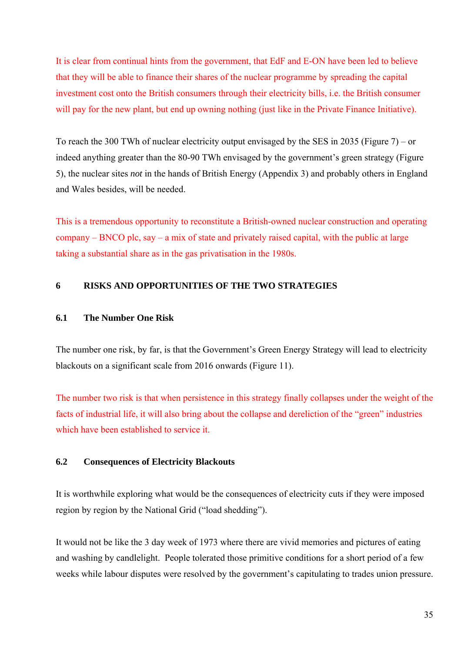It is clear from continual hints from the government, that EdF and E-ON have been led to believe that they will be able to finance their shares of the nuclear programme by spreading the capital investment cost onto the British consumers through their electricity bills, i.e. the British consumer will pay for the new plant, but end up owning nothing (just like in the Private Finance Initiative).

To reach the 300 TWh of nuclear electricity output envisaged by the SES in 2035 (Figure 7) – or indeed anything greater than the 80-90 TWh envisaged by the government's green strategy (Figure 5), the nuclear sites *not* in the hands of British Energy (Appendix 3) and probably others in England and Wales besides, will be needed.

This is a tremendous opportunity to reconstitute a British-owned nuclear construction and operating company – BNCO plc, say – a mix of state and privately raised capital, with the public at large taking a substantial share as in the gas privatisation in the 1980s.

## **6 RISKS AND OPPORTUNITIES OF THE TWO STRATEGIES**

#### **6.1 The Number One Risk**

The number one risk, by far, is that the Government's Green Energy Strategy will lead to electricity blackouts on a significant scale from 2016 onwards (Figure 11).

The number two risk is that when persistence in this strategy finally collapses under the weight of the facts of industrial life, it will also bring about the collapse and dereliction of the "green" industries which have been established to service it.

## **6.2 Consequences of Electricity Blackouts**

It is worthwhile exploring what would be the consequences of electricity cuts if they were imposed region by region by the National Grid ("load shedding").

It would not be like the 3 day week of 1973 where there are vivid memories and pictures of eating and washing by candlelight. People tolerated those primitive conditions for a short period of a few weeks while labour disputes were resolved by the government's capitulating to trades union pressure.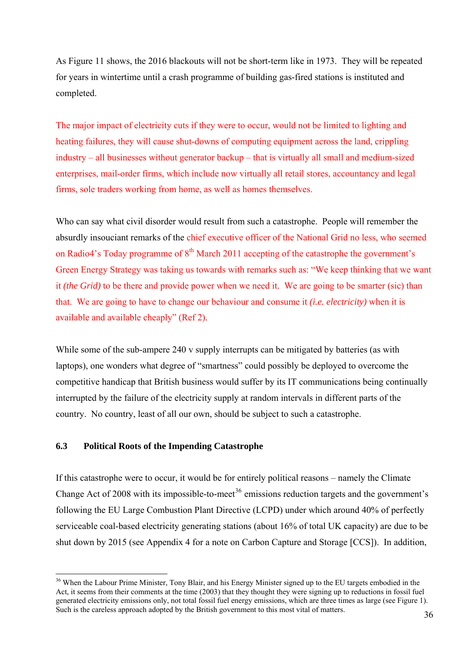As Figure 11 shows, the 2016 blackouts will not be short-term like in 1973. They will be repeated for years in wintertime until a crash programme of building gas-fired stations is instituted and completed.

The major impact of electricity cuts if they were to occur, would not be limited to lighting and heating failures, they will cause shut-downs of computing equipment across the land, crippling industry – all businesses without generator backup – that is virtually all small and medium-sized enterprises, mail-order firms, which include now virtually all retail stores, accountancy and legal firms, sole traders working from home, as well as homes themselves.

Who can say what civil disorder would result from such a catastrophe. People will remember the absurdly insouciant remarks of the chief executive officer of the National Grid no less, who seemed on Radio4's Today programme of  $8<sup>th</sup>$  March 2011 accepting of the catastrophe the government's Green Energy Strategy was taking us towards with remarks such as: "We keep thinking that we want it *(the Grid)* to be there and provide power when we need it. We are going to be smarter (sic) than that. We are going to have to change our behaviour and consume it *(i.e. electricity)* when it is available and available cheaply" (Ref 2).

While some of the sub-ampere 240 v supply interrupts can be mitigated by batteries (as with laptops), one wonders what degree of "smartness" could possibly be deployed to overcome the competitive handicap that British business would suffer by its IT communications being continually interrupted by the failure of the electricity supply at random intervals in different parts of the country. No country, least of all our own, should be subject to such a catastrophe.

## **6.3 Political Roots of the Impending Catastrophe**

 $\overline{a}$ 

If this catastrophe were to occur, it would be for entirely political reasons – namely the Climate Change Act of 2008 with its impossible-to-meet<sup>[36](#page-46-0)</sup> emissions reduction targets and the government's following the EU Large Combustion Plant Directive (LCPD) under which around 40% of perfectly serviceable coal-based electricity generating stations (about 16% of total UK capacity) are due to be shut down by 2015 (see Appendix 4 for a note on Carbon Capture and Storage [CCS]). In addition,

<span id="page-46-0"></span><sup>&</sup>lt;sup>36</sup> When the Labour Prime Minister, Tony Blair, and his Energy Minister signed up to the EU targets embodied in the Act, it seems from their comments at the time (2003) that they thought they were signing up to reductions in fossil fuel generated electricity emissions only, not total fossil fuel energy emissions, which are three times as large (see Figure 1). Such is the careless approach adopted by the British government to this most vital of matters.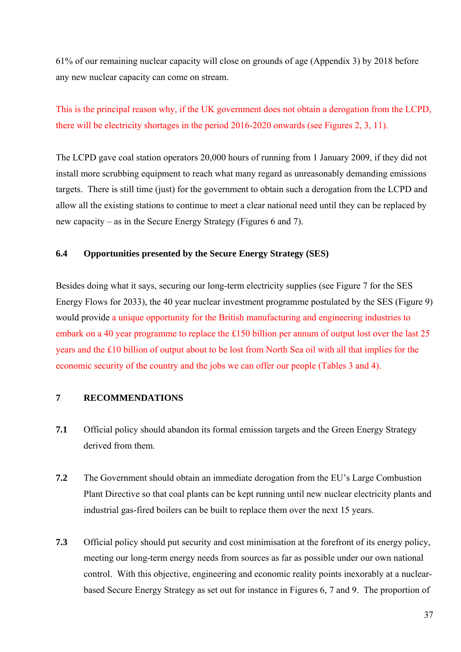61% of our remaining nuclear capacity will close on grounds of age (Appendix 3) by 2018 before any new nuclear capacity can come on stream.

This is the principal reason why, if the UK government does not obtain a derogation from the LCPD, there will be electricity shortages in the period 2016-2020 onwards (see Figures 2, 3, 11).

The LCPD gave coal station operators 20,000 hours of running from 1 January 2009, if they did not install more scrubbing equipment to reach what many regard as unreasonably demanding emissions targets. There is still time (just) for the government to obtain such a derogation from the LCPD and allow all the existing stations to continue to meet a clear national need until they can be replaced by new capacity – as in the Secure Energy Strategy (Figures 6 and 7).

## **6.4 Opportunities presented by the Secure Energy Strategy (SES)**

Besides doing what it says, securing our long-term electricity supplies (see Figure 7 for the SES Energy Flows for 2033), the 40 year nuclear investment programme postulated by the SES (Figure 9) would provide a unique opportunity for the British manufacturing and engineering industries to embark on a 40 year programme to replace the £150 billion per annum of output lost over the last 25 years and the £10 billion of output about to be lost from North Sea oil with all that implies for the economic security of the country and the jobs we can offer our people (Tables 3 and 4).

## **7 RECOMMENDATIONS**

- **7.1** Official policy should abandon its formal emission targets and the Green Energy Strategy derived from them.
- **7.2** The Government should obtain an immediate derogation from the EU's Large Combustion Plant Directive so that coal plants can be kept running until new nuclear electricity plants and industrial gas-fired boilers can be built to replace them over the next 15 years.
- **7.3** Official policy should put security and cost minimisation at the forefront of its energy policy, meeting our long-term energy needs from sources as far as possible under our own national control. With this objective, engineering and economic reality points inexorably at a nuclearbased Secure Energy Strategy as set out for instance in Figures 6, 7 and 9. The proportion of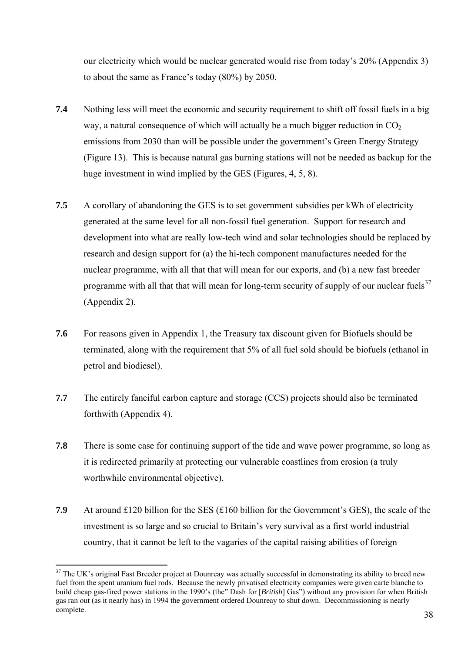our electricity which would be nuclear generated would rise from today's 20% (Appendix 3) to about the same as France's today (80%) by 2050.

- **7.4** Nothing less will meet the economic and security requirement to shift off fossil fuels in a big way, a natural consequence of which will actually be a much bigger reduction in  $CO<sub>2</sub>$ emissions from 2030 than will be possible under the government's Green Energy Strategy (Figure 13). This is because natural gas burning stations will not be needed as backup for the huge investment in wind implied by the GES (Figures, 4, 5, 8).
- **7.5** A corollary of abandoning the GES is to set government subsidies per kWh of electricity generated at the same level for all non-fossil fuel generation. Support for research and development into what are really low-tech wind and solar technologies should be replaced by research and design support for (a) the hi-tech component manufactures needed for the nuclear programme, with all that that will mean for our exports, and (b) a new fast breeder programme with all that that will mean for long-term security of supply of our nuclear fuels<sup>[37](#page-48-0)</sup> (Appendix 2).
- **7.6** For reasons given in Appendix 1, the Treasury tax discount given for Biofuels should be terminated, along with the requirement that 5% of all fuel sold should be biofuels (ethanol in petrol and biodiesel).
- **7.7** The entirely fanciful carbon capture and storage (CCS) projects should also be terminated forthwith (Appendix 4).
- **7.8** There is some case for continuing support of the tide and wave power programme, so long as it is redirected primarily at protecting our vulnerable coastlines from erosion (a truly worthwhile environmental objective).
- **7.9** At around £120 billion for the SES (£160 billion for the Government's GES), the scale of the investment is so large and so crucial to Britain's very survival as a first world industrial country, that it cannot be left to the vagaries of the capital raising abilities of foreign

<span id="page-48-0"></span><sup>&</sup>lt;sup>37</sup> The UK's original Fast Breeder project at Dounreay was actually successful in demonstrating its ability to breed new fuel from the spent uranium fuel rods. Because the newly privatised electricity companies were given carte blanche to build cheap gas-fired power stations in the 1990's (the" Dash for [*British*] Gas") without any provision for when British gas ran out (as it nearly has) in 1994 the government ordered Dounreay to shut down. Decommissioning is nearly complete.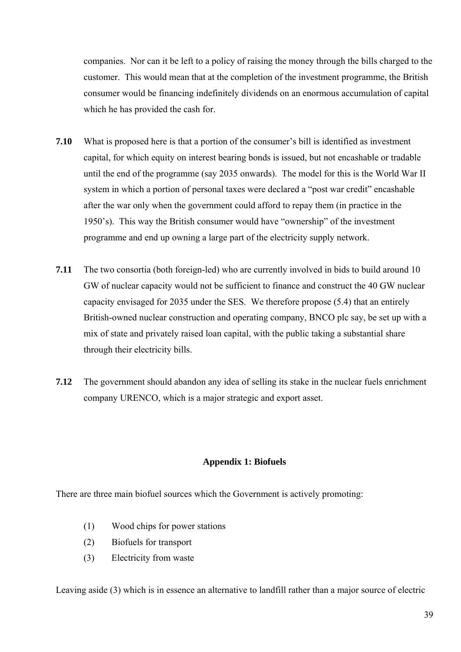companies. Nor can it be left to a policy of raising the money through the bills charged to the customer. This would mean that at the completion of the investment programme, the British consumer would be financing indefinitely dividends on an enormous accumulation of capital which he has provided the cash for.

- **7.10** What is proposed here is that a portion of the consumer's bill is identified as investment capital, for which equity on interest bearing bonds is issued, but not encashable or tradable until the end of the programme (say 2035 onwards). The model for this is the World War II system in which a portion of personal taxes were declared a "post war credit" encashable after the war only when the government could afford to repay them (in practice in the 1950's). This way the British consumer would have "ownership" of the investment programme and end up owning a large part of the electricity supply network.
- **7.11** The two consortia (both foreign-led) who are currently involved in bids to build around 10 GW of nuclear capacity would not be sufficient to finance and construct the 40 GW nuclear capacity envisaged for 2035 under the SES. We therefore propose (5.4) that an entirely British-owned nuclear construction and operating company, BNCO plc say, be set up with a mix of state and privately raised loan capital, with the public taking a substantial share through their electricity bills.
- **7.12** The government should abandon any idea of selling its stake in the nuclear fuels enrichment company URENCO, which is a major strategic and export asset.

## **Appendix 1: Biofuels**

There are three main biofuel sources which the Government is actively promoting:

- (1) Wood chips for power stations
- (2) Biofuels for transport
- (3) Electricity from waste

Leaving aside (3) which is in essence an alternative to landfill rather than a major source of electric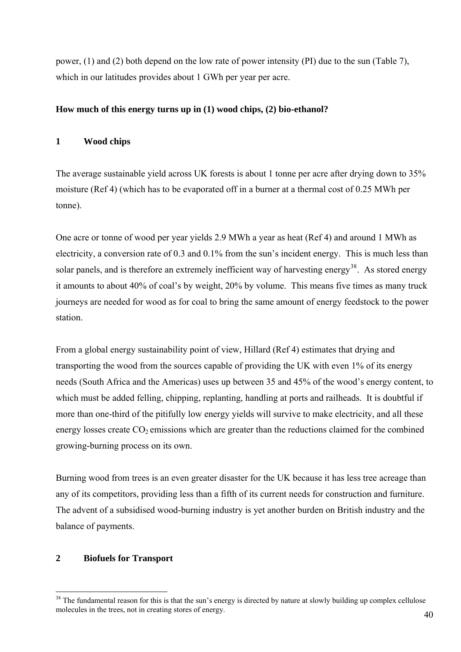power, (1) and (2) both depend on the low rate of power intensity (PI) due to the sun (Table 7), which in our latitudes provides about 1 GWh per year per acre.

## **How much of this energy turns up in (1) wood chips, (2) bio-ethanol?**

## **1 Wood chips**

The average sustainable yield across UK forests is about 1 tonne per acre after drying down to 35% moisture (Ref 4) (which has to be evaporated off in a burner at a thermal cost of 0.25 MWh per tonne).

One acre or tonne of wood per year yields 2.9 MWh a year as heat (Ref 4) and around 1 MWh as electricity, a conversion rate of 0.3 and 0.1% from the sun's incident energy. This is much less than solar panels, and is therefore an extremely inefficient way of harvesting energy<sup>[38](#page-50-0)</sup>. As stored energy it amounts to about 40% of coal's by weight, 20% by volume. This means five times as many truck journeys are needed for wood as for coal to bring the same amount of energy feedstock to the power station.

From a global energy sustainability point of view, Hillard (Ref 4) estimates that drying and transporting the wood from the sources capable of providing the UK with even 1% of its energy needs (South Africa and the Americas) uses up between 35 and 45% of the wood's energy content, to which must be added felling, chipping, replanting, handling at ports and railheads. It is doubtful if more than one-third of the pitifully low energy yields will survive to make electricity, and all these energy losses create  $CO<sub>2</sub>$  emissions which are greater than the reductions claimed for the combined growing-burning process on its own.

Burning wood from trees is an even greater disaster for the UK because it has less tree acreage than any of its competitors, providing less than a fifth of its current needs for construction and furniture. The advent of a subsidised wood-burning industry is yet another burden on British industry and the balance of payments.

## **2 Biofuels for Transport**

<span id="page-50-0"></span> $38$  The fundamental reason for this is that the sun's energy is directed by nature at slowly building up complex cellulose molecules in the trees, not in creating stores of energy.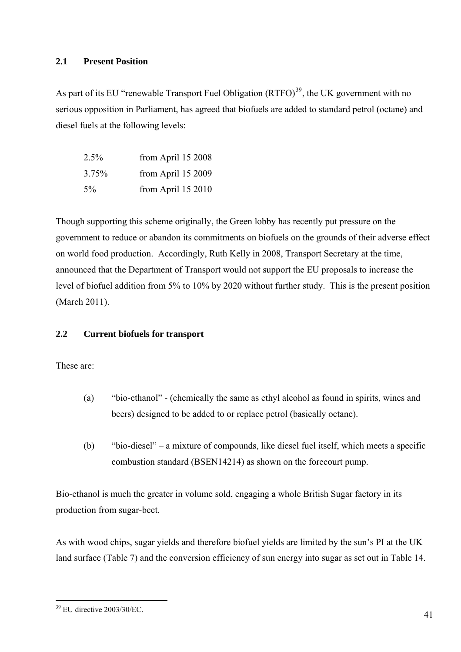## **2.1 Present Position**

As part of its EU "renewable Transport Fuel Obligation  $(RTFO)^{39}$  $(RTFO)^{39}$  $(RTFO)^{39}$ , the UK government with no serious opposition in Parliament, has agreed that biofuels are added to standard petrol (octane) and diesel fuels at the following levels:

| $2.5\%$ | from April 15 2008    |
|---------|-----------------------|
| 3.75%   | from April $15\,2009$ |
| $5\%$   | from April 15 2010    |

Though supporting this scheme originally, the Green lobby has recently put pressure on the government to reduce or abandon its commitments on biofuels on the grounds of their adverse effect on world food production. Accordingly, Ruth Kelly in 2008, Transport Secretary at the time, announced that the Department of Transport would not support the EU proposals to increase the level of biofuel addition from 5% to 10% by 2020 without further study. This is the present position (March 2011).

## **2.2 Current biofuels for transport**

These are:

- (a) "bio-ethanol" (chemically the same as ethyl alcohol as found in spirits, wines and beers) designed to be added to or replace petrol (basically octane).
- (b) "bio-diesel" a mixture of compounds, like diesel fuel itself, which meets a specific combustion standard (BSEN14214) as shown on the forecourt pump.

Bio-ethanol is much the greater in volume sold, engaging a whole British Sugar factory in its production from sugar-beet.

As with wood chips, sugar yields and therefore biofuel yields are limited by the sun's PI at the UK land surface (Table 7) and the conversion efficiency of sun energy into sugar as set out in Table 14.

<span id="page-51-0"></span> $\overline{a}$ 39 EU directive 2003/30/EC.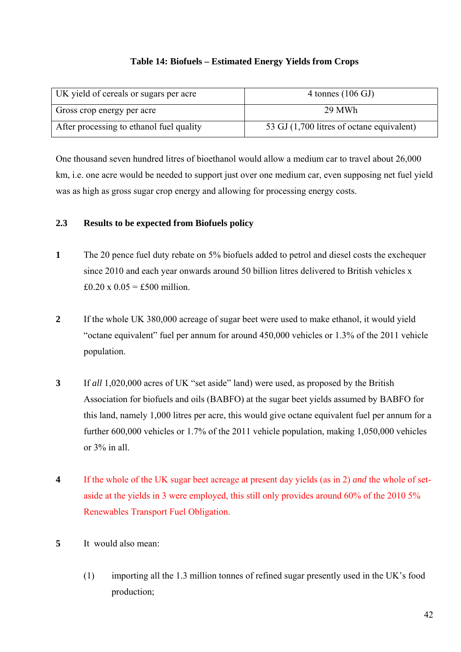## **Table 14: Biofuels – Estimated Energy Yields from Crops**

| UK yield of cereals or sugars per acre   | 4 tonnes $(106 \text{ GJ})$               |
|------------------------------------------|-------------------------------------------|
| Gross crop energy per acre               | 29 MWh                                    |
| After processing to ethanol fuel quality | 53 GJ (1,700 litres of octane equivalent) |

One thousand seven hundred litres of bioethanol would allow a medium car to travel about 26,000 km, i.e. one acre would be needed to support just over one medium car, even supposing net fuel yield was as high as gross sugar crop energy and allowing for processing energy costs.

## **2.3 Results to be expected from Biofuels policy**

- **1** The 20 pence fuel duty rebate on 5% biofuels added to petrol and diesel costs the exchequer since 2010 and each year onwards around 50 billion litres delivered to British vehicles x £0.20 x  $0.05 = £500$  million.
- **2** If the whole UK 380,000 acreage of sugar beet were used to make ethanol, it would yield "octane equivalent" fuel per annum for around 450,000 vehicles or 1.3% of the 2011 vehicle population.
- **3** If *all* 1,020,000 acres of UK "set aside" land) were used, as proposed by the British Association for biofuels and oils (BABFO) at the sugar beet yields assumed by BABFO for this land, namely 1,000 litres per acre, this would give octane equivalent fuel per annum for a further 600,000 vehicles or 1.7% of the 2011 vehicle population, making 1,050,000 vehicles or 3% in all.
- **4** If the whole of the UK sugar beet acreage at present day yields (as in 2) *and* the whole of setaside at the yields in 3 were employed, this still only provides around 60% of the 2010 5% Renewables Transport Fuel Obligation.
- **5** It would also mean:
	- (1) importing all the 1.3 million tonnes of refined sugar presently used in the UK's food production;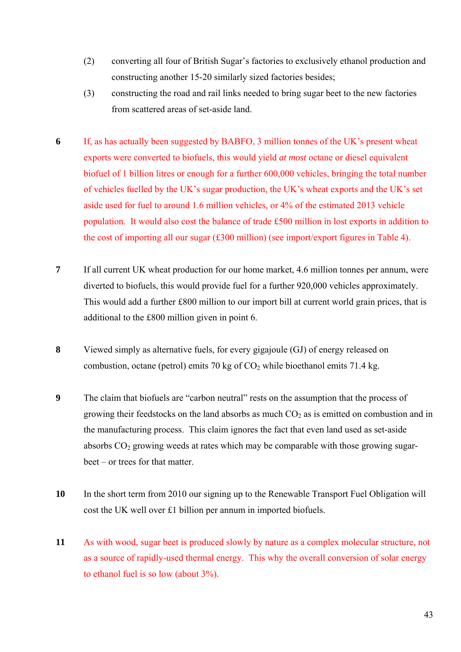- (2) converting all four of British Sugar's factories to exclusively ethanol production and constructing another 15-20 similarly sized factories besides;
- (3) constructing the road and rail links needed to bring sugar beet to the new factories from scattered areas of set-aside land.
- **6** If, as has actually been suggested by BABFO, 3 million tonnes of the UK's present wheat exports were converted to biofuels, this would yield *at most* octane or diesel equivalent biofuel of 1 billion litres or enough for a further 600,000 vehicles, bringing the total number of vehicles fuelled by the UK's sugar production, the UK's wheat exports and the UK's set aside used for fuel to around 1.6 million vehicles, or 4% of the estimated 2013 vehicle population. It would also cost the balance of trade £500 million in lost exports in addition to the cost of importing all our sugar (£300 million) (see import/export figures in Table 4).
- **7** If all current UK wheat production for our home market, 4.6 million tonnes per annum, were diverted to biofuels, this would provide fuel for a further 920,000 vehicles approximately. This would add a further £800 million to our import bill at current world grain prices, that is additional to the £800 million given in point 6.
- **8** Viewed simply as alternative fuels, for every gigajoule (GJ) of energy released on combustion, octane (petrol) emits 70 kg of  $CO<sub>2</sub>$  while bioethanol emits 71.4 kg.
- **9** The claim that biofuels are "carbon neutral" rests on the assumption that the process of growing their feedstocks on the land absorbs as much  $CO<sub>2</sub>$  as is emitted on combustion and in the manufacturing process. This claim ignores the fact that even land used as set-aside absorbs  $CO<sub>2</sub>$  growing weeds at rates which may be comparable with those growing sugarbeet – or trees for that matter.
- **10** In the short term from 2010 our signing up to the Renewable Transport Fuel Obligation will cost the UK well over £1 billion per annum in imported biofuels.
- **11** As with wood, sugar beet is produced slowly by nature as a complex molecular structure, not as a source of rapidly-used thermal energy. This why the overall conversion of solar energy to ethanol fuel is so low (about 3%).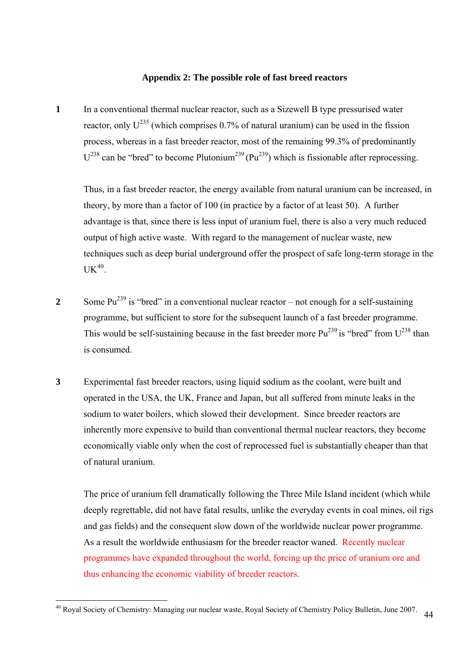## **Appendix 2: The possible role of fast breed reactors**

**1** In a conventional thermal nuclear reactor, such as a Sizewell B type pressurised water reactor, only  $U^{235}$  (which comprises 0.7% of natural uranium) can be used in the fission process, whereas in a fast breeder reactor, most of the remaining 99.3% of predominantly  $U^{238}$  can be "bred" to become Plutonium<sup>239</sup> (Pu<sup>239</sup>) which is fissionable after reprocessing.

 Thus, in a fast breeder reactor, the energy available from natural uranium can be increased, in theory, by more than a factor of 100 (in practice by a factor of at least 50). A further advantage is that, since there is less input of uranium fuel, there is also a very much reduced output of high active waste. With regard to the management of nuclear waste, new techniques such as deep burial underground offer the prospect of safe long-term storage in the  $UK^{40}$  $UK^{40}$  $UK^{40}$ .

- 2 Some Pu<sup>239</sup> is "bred" in a conventional nuclear reactor not enough for a self-sustaining programme, but sufficient to store for the subsequent launch of a fast breeder programme. This would be self-sustaining because in the fast breeder more  $Pu^{239}$  is "bred" from  $U^{238}$  than is consumed.
- **3** Experimental fast breeder reactors, using liquid sodium as the coolant, were built and operated in the USA, the UK, France and Japan, but all suffered from minute leaks in the sodium to water boilers, which slowed their development. Since breeder reactors are inherently more expensive to build than conventional thermal nuclear reactors, they become economically viable only when the cost of reprocessed fuel is substantially cheaper than that of natural uranium.

 The price of uranium fell dramatically following the Three Mile Island incident (which while deeply regrettable, did not have fatal results, unlike the everyday events in coal mines, oil rigs and gas fields) and the consequent slow down of the worldwide nuclear power programme. As a result the worldwide enthusiasm for the breeder reactor waned. Recently nuclear programmes have expanded throughout the world, forcing up the price of uranium ore and thus enhancing the economic viability of breeder reactors.

<span id="page-54-0"></span><sup>44</sup>  $\overline{a}$ <sup>40</sup> Royal Society of Chemistry: Managing our nuclear waste, Royal Society of Chemistry Policy Bulletin, June 2007.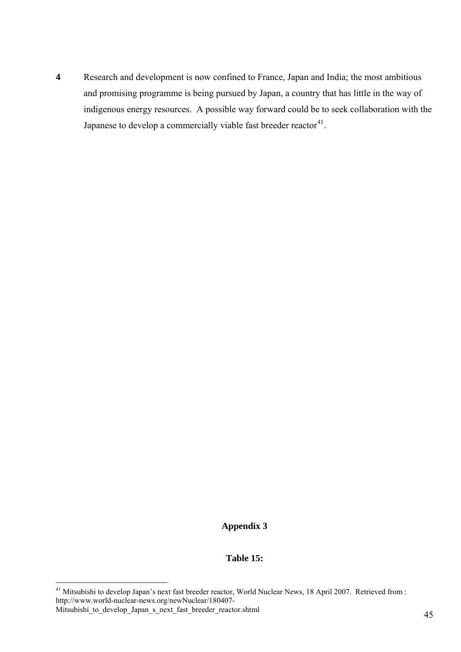**4** Research and development is now confined to France, Japan and India; the most ambitious and promising programme is being pursued by Japan, a country that has little in the way of indigenous energy resources. A possible way forward could be to seek collaboration with the Japanese to develop a commercially viable fast breeder reactor $41$ .

## **Appendix 3**

## **Table 15:**

<span id="page-55-0"></span><sup>&</sup>lt;sup>41</sup> Mitsubishi to develop Japan's next fast breeder reactor, World Nuclear News, 18 April 2007. Retrieved from : http://www.world-nuclear-news.org/newNuclear/180407-

Mitsubishi to develop Japan s next fast breeder reactor.shtml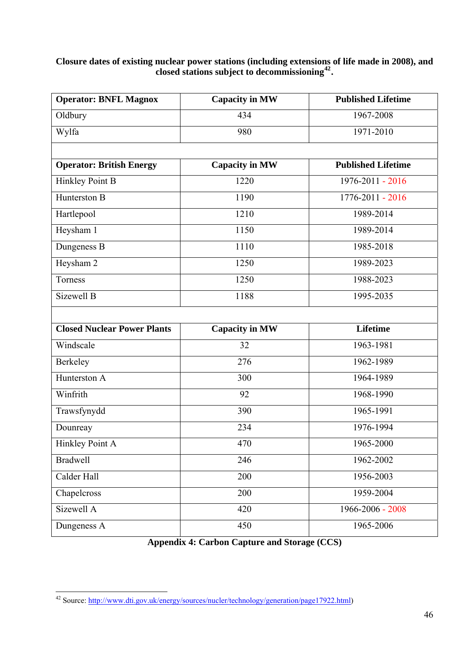## **Closure dates of existing nuclear power stations (including extensions of life made in 2008), and closed stations subject to decommissioning[42](#page-56-0).**

| <b>Operator: BNFL Magnox</b>       | <b>Capacity in MW</b> | <b>Published Lifetime</b> |
|------------------------------------|-----------------------|---------------------------|
| Oldbury                            | 434                   | 1967-2008                 |
| Wylfa                              | 980                   | 1971-2010                 |
|                                    |                       |                           |
| <b>Operator: British Energy</b>    | <b>Capacity in MW</b> | <b>Published Lifetime</b> |
| Hinkley Point B                    | 1220                  | 1976-2011 - 2016          |
| Hunterston B                       | 1190                  | 1776-2011 - 2016          |
| Hartlepool                         | 1210                  | 1989-2014                 |
| Heysham 1                          | 1150                  | 1989-2014                 |
| Dungeness B                        | 1110                  | 1985-2018                 |
| Heysham 2                          | 1250                  | 1989-2023                 |
| Torness                            | 1250                  | 1988-2023                 |
| Sizewell B                         | 1188                  | 1995-2035                 |
|                                    |                       |                           |
| <b>Closed Nuclear Power Plants</b> | <b>Capacity in MW</b> | <b>Lifetime</b>           |
| Windscale                          | 32                    | 1963-1981                 |
| Berkeley                           | 276                   | 1962-1989                 |
| Hunterston A                       | 300                   | 1964-1989                 |
| Winfrith                           | 92                    | 1968-1990                 |
| Trawsfynydd                        | 390                   | 1965-1991                 |
| Dounreay                           | 234                   | 1976-1994                 |
| Hinkley Point A                    | 470                   | 1965-2000                 |
| <b>Bradwell</b>                    | 246                   | 1962-2002                 |
| Calder Hall                        | 200                   | 1956-2003                 |
| Chapelcross                        | 200                   | 1959-2004                 |
| Sizewell A                         | 420                   | 1966-2006 - 2008          |
| Dungeness A                        | 450                   | 1965-2006                 |

**Appendix 4: Carbon Capture and Storage (CCS)** 

<span id="page-56-0"></span> $\overline{a}$ <sup>42</sup> Source: [http://www.dti.gov.uk/energy/sources/nucler/technology/generation/page17922.html\)](http://www.dti.gov.uk/energy/sources/nucler/technology/generation/page17922.html)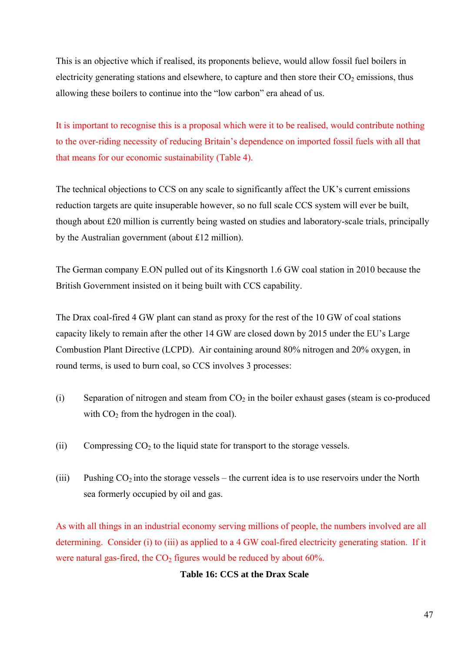This is an objective which if realised, its proponents believe, would allow fossil fuel boilers in electricity generating stations and elsewhere, to capture and then store their  $CO<sub>2</sub>$  emissions, thus allowing these boilers to continue into the "low carbon" era ahead of us.

It is important to recognise this is a proposal which were it to be realised, would contribute nothing to the over-riding necessity of reducing Britain's dependence on imported fossil fuels with all that that means for our economic sustainability (Table 4).

The technical objections to CCS on any scale to significantly affect the UK's current emissions reduction targets are quite insuperable however, so no full scale CCS system will ever be built, though about £20 million is currently being wasted on studies and laboratory-scale trials, principally by the Australian government (about £12 million).

The German company E.ON pulled out of its Kingsnorth 1.6 GW coal station in 2010 because the British Government insisted on it being built with CCS capability.

The Drax coal-fired 4 GW plant can stand as proxy for the rest of the 10 GW of coal stations capacity likely to remain after the other 14 GW are closed down by 2015 under the EU's Large Combustion Plant Directive (LCPD). Air containing around 80% nitrogen and 20% oxygen, in round terms, is used to burn coal, so CCS involves 3 processes:

- (i) Separation of nitrogen and steam from  $CO<sub>2</sub>$  in the boiler exhaust gases (steam is co-produced with  $CO<sub>2</sub>$  from the hydrogen in the coal).
- (ii) Compressing  $CO<sub>2</sub>$  to the liquid state for transport to the storage vessels.
- (iii) Pushing  $CO<sub>2</sub>$  into the storage vessels the current idea is to use reservoirs under the North sea formerly occupied by oil and gas.

As with all things in an industrial economy serving millions of people, the numbers involved are all determining. Consider (i) to (iii) as applied to a 4 GW coal-fired electricity generating station. If it were natural gas-fired, the  $CO<sub>2</sub>$  figures would be reduced by about 60%.

## **Table 16: CCS at the Drax Scale**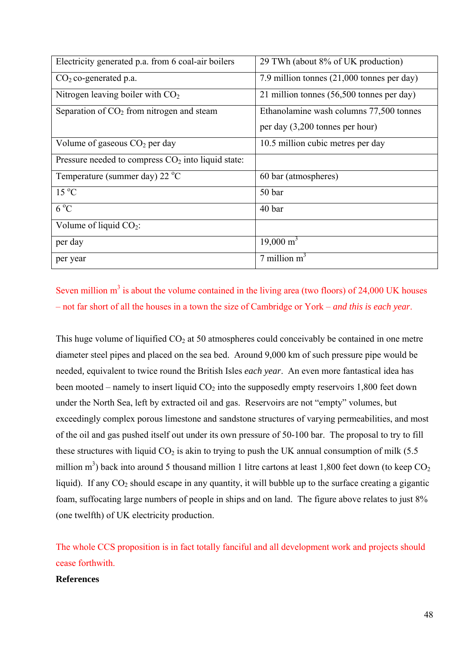| Electricity generated p.a. from 6 coal-air boilers   | 29 TWh (about 8% of UK production)         |
|------------------------------------------------------|--------------------------------------------|
| $CO2$ co-generated p.a.                              | 7.9 million tonnes (21,000 tonnes per day) |
| Nitrogen leaving boiler with $CO2$                   | 21 million tonnes (56,500 tonnes per day)  |
| Separation of $CO2$ from nitrogen and steam          | Ethanolamine wash columns 77,500 tonnes    |
|                                                      | per day (3,200 tonnes per hour)            |
| Volume of gaseous $CO2$ per day                      | 10.5 million cubic metres per day          |
| Pressure needed to compress $CO2$ into liquid state: |                                            |
| Temperature (summer day) 22 $^{\circ}$ C             | 60 bar (atmospheres)                       |
| $15\text{ °C}$                                       | 50 bar                                     |
| $6^{\circ}C$                                         | 40 bar                                     |
| Volume of liquid $CO2$ :                             |                                            |
| per day                                              | $19,000 \text{ m}^3$                       |
| per year                                             | 7 million $m3$                             |

# Seven million  $m<sup>3</sup>$  is about the volume contained in the living area (two floors) of 24,000 UK houses – not far short of all the houses in a town the size of Cambridge or York – *and this is each year*.

This huge volume of liquified  $CO<sub>2</sub>$  at 50 atmospheres could conceivably be contained in one metre diameter steel pipes and placed on the sea bed. Around 9,000 km of such pressure pipe would be needed*,* equivalent to twice round the British Isles *each year*. An even more fantastical idea has been mooted – namely to insert liquid  $CO<sub>2</sub>$  into the supposedly empty reservoirs 1,800 feet down under the North Sea, left by extracted oil and gas. Reservoirs are not "empty" volumes, but exceedingly complex porous limestone and sandstone structures of varying permeabilities, and most of the oil and gas pushed itself out under its own pressure of 50-100 bar. The proposal to try to fill these structures with liquid  $CO<sub>2</sub>$  is akin to trying to push the UK annual consumption of milk (5.5) million m<sup>3</sup>) back into around 5 thousand million 1 litre cartons at least 1,800 feet down (to keep  $CO<sub>2</sub>$ liquid). If any  $CO_2$  should escape in any quantity, it will bubble up to the surface creating a gigantic foam, suffocating large numbers of people in ships and on land. The figure above relates to just 8% (one twelfth) of UK electricity production.

The whole CCS proposition is in fact totally fanciful and all development work and projects should cease forthwith.

#### **References**